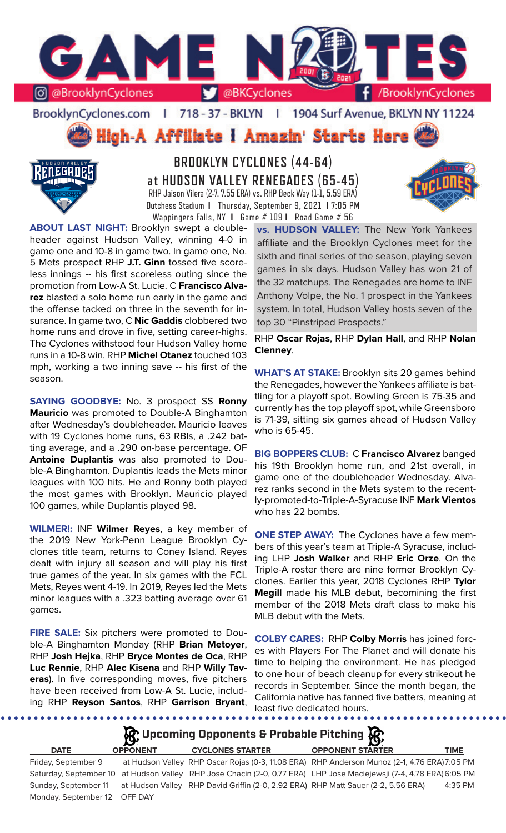

BrooklynCyclones.com | 718 - 37 - BKLYN | 1904 Surf Avenue, BKLYN NY 11224

High-A Affiliate I Amazin' Starts Here



**BROOKLYN CYCLONES (44-64) at HUDSON VALLEY RENEGADES (65-45)** RHP Jaison Vilera (2-7. 7.55 ERA) vs. RHP Beck Way (1-1, 5.59 ERA) Dutchess Stadium **I** Thursday, September 9, 2021 **I** 7:05 PM Wappingers Falls, NY **I** Game # 109 **I** Road Game # 56

**ABOUT LAST NIGHT:** Brooklyn swept a doubleheader against Hudson Valley, winning 4-0 in game one and 10-8 in game two. In game one, No. 5 Mets prospect RHP **J.T. Ginn** tossed five scoreless innings -- his first scoreless outing since the promotion from Low-A St. Lucie. C **Francisco Alvarez** blasted a solo home run early in the game and the offense tacked on three in the seventh for insurance. In game two, C **Nic Gaddis** clobbered two home runs and drove in five, setting career-highs. The Cyclones withstood four Hudson Valley home runs in a 10-8 win. RHP **Michel Otanez** touched 103 mph, working a two inning save -- his first of the season.

**SAYING GOODBYE:** No. 3 prospect SS **Ronny Mauricio** was promoted to Double-A Binghamton after Wednesday's doubleheader. Mauricio leaves with 19 Cyclones home runs, 63 RBIs, a .242 batting average, and a .290 on-base percentage. OF **Antoine Duplantis** was also promoted to Double-A Binghamton. Duplantis leads the Mets minor leagues with 100 hits. He and Ronny both played the most games with Brooklyn. Mauricio played 100 games, while Duplantis played 98.

**WILMER!:** INF **Wilmer Reyes**, a key member of the 2019 New York-Penn League Brooklyn Cyclones title team, returns to Coney Island. Reyes dealt with injury all season and will play his first true games of the year. In six games with the FCL Mets, Reyes went 4-19. In 2019, Reyes led the Mets minor leagues with a .323 batting average over 61 games.

**FIRE SALE:** Six pitchers were promoted to Double-A Binghamton Monday (RHP **Brian Metoyer**, RHP **Josh Hejka**, RHP **Bryce Montes de Oca**, RHP **Luc Rennie**, RHP **Alec Kisena** and RHP **Willy Taveras**). In five corresponding moves, five pitchers have been received from Low-A St. Lucie, including RHP **Reyson Santos**, RHP **Garrison Bryant**,

**vs. HUDSON VALLEY:** The New York Yankees affiliate and the Brooklyn Cyclones meet for the sixth and final series of the season, playing seven games in six days. Hudson Valley has won 21 of the 32 matchups. The Renegades are home to INF Anthony Volpe, the No. 1 prospect in the Yankees system. In total, Hudson Valley hosts seven of the top 30 "Pinstriped Prospects."

RHP **Oscar Rojas**, RHP **Dylan Hall**, and RHP **Nolan Clenney**.

**WHAT'S AT STAKE:** Brooklyn sits 20 games behind the Renegades, however the Yankees affiliate is battling for a playoff spot. Bowling Green is 75-35 and currently has the top playoff spot, while Greensboro is 71-39, sitting six games ahead of Hudson Valley who is 65-45.

**BIG BOPPERS CLUB:** C **Francisco Alvarez** banged his 19th Brooklyn home run, and 21st overall, in game one of the doubleheader Wednesday. Alvarez ranks second in the Mets system to the recently-promoted-to-Triple-A-Syracuse INF **Mark Vientos**  who has 22 bombs.

**ONE STEP AWAY:** The Cyclones have a few members of this year's team at Triple-A Syracuse, including LHP **Josh Walker** and RHP **Eric Orze**. On the Triple-A roster there are nine former Brooklyn Cyclones. Earlier this year, 2018 Cyclones RHP **Tylor Megill** made his MLB debut, becomining the first member of the 2018 Mets draft class to make his MLB debut with the Mets.

**COLBY CARES:** RHP **Colby Morris** has joined forces with Players For The Planet and will donate his time to helping the environment. He has pledged to one hour of beach cleanup for every strikeout he records in September. Since the month began, the California native has fanned five batters, meaning at least five dedicated hours.

# **Upcoming Opponents & Probable Pitching**

Monday, September 12 OFF DAY

# **DATE OPPONENT CYCLONES STARTER OPPONENT STARTER TIME**

Friday, September 9 at Hudson Valley RHP Oscar Rojas (0-3, 11.08 ERA) RHP Anderson Munoz (2-1, 4.76 ERA)7:05 PM Saturday, September 10 at Hudson Valley RHP Jose Chacin (2-0, 0.77 ERA) LHP Jose Maciejewsji (7-4, 4.78 ERA) 6:05 PM Sunday, September 11 at Hudson Valley RHP David Griffin (2-0, 2.92 ERA) RHP Matt Sauer (2-2, 5.56 ERA) 4:35 PM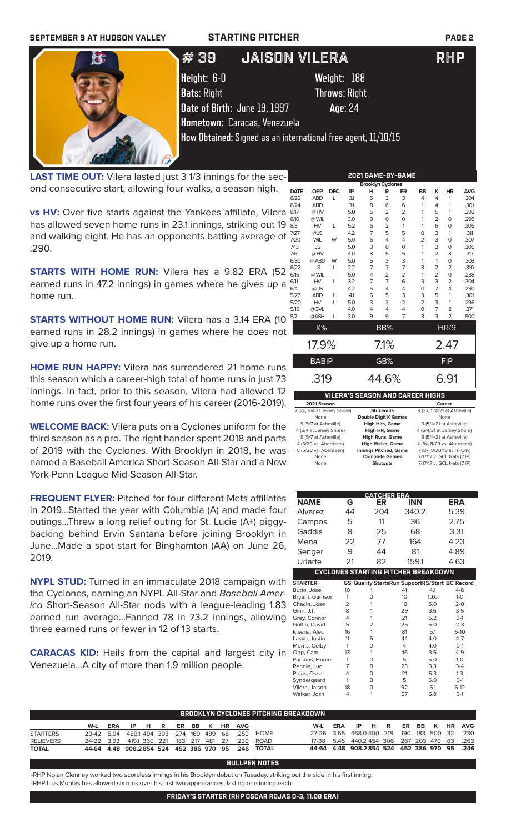| <b>SEPTEMBER 9 AT HUDSON VALLEY</b> | <b>STARTING PITCHER</b>                                       |                      | <b>PAGE 2</b> |
|-------------------------------------|---------------------------------------------------------------|----------------------|---------------|
|                                     | # 39                                                          | <b>JAISON VILERA</b> | RHP           |
|                                     | Height: 6-0                                                   | Weight: 188          |               |
|                                     | <b>Bats: Right</b>                                            | <b>Throws: Right</b> |               |
|                                     | Date of Birth: June 19, 1997                                  | Age: 24              |               |
|                                     | Hometown: Caracas, Venezuela                                  |                      |               |
|                                     | How Obtained: Signed as an international free agent, 11/10/15 |                      |               |

**LAST TIME OUT:** Vilera lasted just 3 1/3 innings for the second consecutive start, allowing four walks, a season high.

SAT NEW LINE

**vs HV:** Over five starts against the Yankees affiliate, Vilera & has allowed seven home runs in 23.1 innings, striking out 19  $\frac{8}{36}$ and walking eight. He has an opponents batting average of .290.

**STARTS WITH HOME RUN:** Vilera has a 9.82 ERA (52 % earned runs in 47.2 innings) in games where he gives up a  $\frac{6}{6}$ home run.

**STARTS WITHOUT HOME RUN:** Vilera has a 3.14 ERA (10 earned runs in 28.2 innings) in games where he does not give up a home run.

**HOME RUN HAPPY:** Vilera has surrendered 21 home runs this season which a career-high total of home runs in just 73 innings. In fact, prior to this season, Vilera had allowed 12 home runs over the first four years of his career (2016-2019).

**WELCOME BACK:** Vilera puts on a Cyclones uniform for the third season as a pro. The right hander spent 2018 and parts of 2019 with the Cyclones. With Brooklyn in 2018, he was named a Baseball America Short-Season All-Star and a New York-Penn League Mid-Season All-Star.

**FREQUENT FLYER:** Pitched for four different Mets affiliates in 2019...Started the year with Columbia (A) and made four outings...Threw a long relief outing for St. Lucie (A+) piggybacking behind Ervin Santana before joining Brooklyn in June...Made a spot start for Binghamton (AA) on June 26, 2019.

**NYPL STUD:** Turned in an immaculate 2018 campaign with the Cyclones, earning an NYPL All-Star and *Baseball America* Short-Season All-Star nods with a league-leading 1.83 earned run average...Fanned 78 in 73.2 innings, allowing three earned runs or fewer in 12 of 13 starts.

**CARACAS KID:** Hails from the capital and largest city in Venezuela...A city of more than 1.9 million people.

|      | 2021 GAME-BY-GAME                |            |                                         |                          |                |                |                |                |                       |            |
|------|----------------------------------|------------|-----------------------------------------|--------------------------|----------------|----------------|----------------|----------------|-----------------------|------------|
|      |                                  |            |                                         | <b>Brooklyn Cyclones</b> |                |                |                |                |                       |            |
| DATE | <b>OPP</b>                       | <b>DEC</b> | IP                                      | н                        | R              | ER             | <b>BB</b>      | ĸ              | HR                    | <b>AVG</b> |
| 8/29 | <b>ABD</b>                       | L          | 31                                      | 5                        | 3              | 3              | $\overline{4}$ | 4              | 1                     | .304       |
| 8/24 | <b>ABD</b>                       |            | 31                                      | 8                        | 6              | 6              | 1              | 4              | 1                     | .301       |
| 8/17 | @HV                              |            | 5.0                                     | 5                        | $\overline{2}$ | $\overline{2}$ | 1              | 5              | 1                     | .292       |
| 8/10 | @ WIL                            |            | 3.0                                     | $\Omega$                 | $\overline{O}$ | $\Omega$       | 1              | $\overline{2}$ | $\mathbf 0$           | .295       |
| 8/3  | HV                               | L          | 5.2                                     | 6                        | 2              | 1              | 1              | 6              | $\mathbf 0$           | .305       |
| 7/27 | $@$ JS                           |            | 4.2                                     | 7                        | 5              | 5              | 0              | 3              | 1                     | .311       |
| 7/20 | <b>WIL</b>                       | W          | 5.0                                     | 6                        | 4              | 4              | $\overline{2}$ | 3              | $\mathbf 0$           | .307       |
| 7/13 | <b>JS</b>                        |            | 5.0                                     | 3                        | 0              | O              | 1              | 3              | $\mathbf 0$           | .305       |
| 7/6  | @HV                              |            | 4.0                                     | 8                        | 5              | 5              | 1              | $\overline{2}$ | 3                     | .317       |
| 6/30 | @ ABD                            | W          | 5.0                                     | 5                        | 3              | 3              | 1              | 1              | $\mathbf 0$           | .303       |
| 6/22 | <b>JS</b>                        | L          | 2.2                                     | 7                        | $\overline{7}$ | $\overline{7}$ | 3              | 2              | $\overline{2}$        | .310       |
| 6/16 | @ WIL                            |            | 5.0                                     | 4                        | $\overline{2}$ | $\overline{2}$ | 1              | $\overline{2}$ | $\circ$               | .288       |
| 6/11 | HV                               | L          | 3.2                                     | 7                        | $\overline{7}$ | 6              | 3              | 3              | $\overline{2}$        | .304       |
| 6/4  | $@$ JS                           |            | 4.2                                     | 5                        | 4              | 4              | O              | 7              | 4                     | .290       |
| 5/27 | <b>ABD</b>                       | L          | 4.1                                     | 6                        | 5              | 3              | 3              | 5              | 1                     | .301       |
| 5/20 | HV                               | L          | 5.0                                     | 3                        | 3              | $\overline{2}$ | $\overline{2}$ | 3              | 1                     | .296       |
| 5/15 | @GVL                             |            | 4.0                                     | 4                        | 4              | 4              | $\mathbf 0$    | $\overline{7}$ | $\overline{2}$        | .371       |
| 5/7  | @ASH                             | L          | 3.0                                     | 9                        | 9              | $\overline{7}$ | 3              | 3              | $\overline{2}$        | .500       |
|      | K%                               |            |                                         |                          | BB%            |                |                |                | <b>HR/9</b>           |            |
|      |                                  |            |                                         |                          |                |                |                |                |                       |            |
|      | 17.9%                            |            |                                         |                          | 7.1%           |                |                |                | 2.47                  |            |
|      | <b>BABIP</b>                     |            |                                         |                          | GB%            |                |                |                | <b>FIP</b>            |            |
|      | .319                             |            |                                         |                          | 44.6%          |                |                |                | 6.91                  |            |
|      |                                  |            | <b>VILERA'S SEASON AND CAREER HIGHS</b> |                          |                |                |                |                |                       |            |
|      | 2021 Season                      |            |                                         |                          |                |                |                |                | Career                |            |
|      | $7/2v$ $C/A$ at larger $C$ bara) |            |                                         |                          | Chaileannach   |                |                |                | $0.12y E11121 + A10h$ |            |

| zuzi Season                 |                              | career                      |
|-----------------------------|------------------------------|-----------------------------|
| 7 (2x, 6/4 at Jersey Shore) | <b>Strikeouts</b>            | 9 (3x, 5/4/21 at Asheville) |
| None                        | <b>Double Digit K Games</b>  | None                        |
| 9 (5/7 at Asheville)        | <b>High Hits, Game</b>       | 9 (5/4/21 at Asheville)     |
| 4 (6/4 at Jersey Shore)     | High HR, Game                | 4 (6/4/21 at Jersey Shore)  |
| 9 (5/7 at Asheville)        | <b>High Runs, Game</b>       | 9 (5/4/21 at Asheville)     |
| 4 (8/29 vs. Aberdeen)       | <b>High Walks, Game</b>      | 4 (8x, 8/29 vs. Aberdeen)   |
| 5 (5/20 vs. Aberdeen)       | <b>Innings Pitched, Game</b> | 7 (8x, 8/20/18 at Tri-City) |
| None                        | <b>Complete Games</b>        | 7/17/17 v. GCL Nats (7 IP)  |
| None                        | <b>Shutouts</b>              | 7/17/17 v. GCL Nats (7 IP)  |

|                  |                | <b>CATCHER ERA</b>                                    |            |      |         |
|------------------|----------------|-------------------------------------------------------|------------|------|---------|
| <b>NAME</b>      | G              | ER                                                    | <b>INN</b> |      | ERA     |
| Alvarez          | 44             | 204                                                   | 340.2      |      | 5.39    |
| Campos           | 5              | 11                                                    | 36         |      | 2.75    |
| Gaddis           | 8              | 25                                                    | 68         |      | 3.31    |
| Mena             | 22             | 77                                                    | 164        |      | 4.23    |
| Senger           | 9              | 44                                                    | 81         |      | 4.89    |
| Uriarte          | 21             | 82                                                    | 159.1      |      | 4.63    |
|                  |                | <b>CYCLONES STARTING PITCHER BREAKDOWN</b>            |            |      |         |
| <b>STARTER</b>   |                | <b>GS Quality StartsRun SupportRS/Start BC Record</b> |            |      |         |
| Butto, Jose      | 10             | 1                                                     | 41         | 4.1  | $4-6$   |
| Bryant, Garrison | 1              | 0                                                     | 10         | 10.0 | $1 - 0$ |
| Chacin, Jose     | $\overline{2}$ | 1                                                     | 10         | 5.0  | $2 - 0$ |
| Ginn, J.T.       | 8              | 1                                                     | 29         | 3.6  | $3 - 5$ |
| Grey, Connor     | 4              | 1                                                     | 21         | 5.2  | $3-1$   |
| Griffin, David   | 5              | $\overline{2}$                                        | 25         | 5.0  | $2 - 3$ |
| Kisena, Alec     | 16             | 1                                                     | 81         | 5.1  | $6-10$  |
| Lasko, Justin    | 11             | 6                                                     | 44         | 4.0  | $4 - 7$ |
| Morris, Colby    | 1              | 0                                                     | 4          | 4.0  | $O-1$   |
| Opp, Cam         | 13             | 1                                                     | 46         | 3.5  | $4-9$   |
| Parsons, Hunter  | 1              | 0                                                     | 5          | 5.0  | $1 - 0$ |
| Rennie, Luc      | 7              | 0                                                     | 23         | 3.3  | $3-4$   |
| Rojas, Oscar     | 4              | 0                                                     | 21         | 5.3  | $1-3$   |
| Syndergaard      | 1              | 0                                                     | 5          | 5.0  | $O-1$   |
| Vilera, Jaison   | 18             | 0                                                     | 92         | 5.1  | $6-12$  |
| Walker, Josh     | 4              | 1                                                     | 27         | 6.8  | $3-1$   |

| ' BROOKLYN CYCLONES PITCHING BREAKDOWN . |                                                   |  |  |  |  |  |  |  |  |                          |                                                   |                                              |  |  |  |  |  |
|------------------------------------------|---------------------------------------------------|--|--|--|--|--|--|--|--|--------------------------|---------------------------------------------------|----------------------------------------------|--|--|--|--|--|
|                                          | W-L                                               |  |  |  |  |  |  |  |  | ERA IP HR ER BB K HR AVG |                                                   | W-L ERA IP H R ER BB K HR AVG                |  |  |  |  |  |
| <b>STARTERS</b>                          |                                                   |  |  |  |  |  |  |  |  |                          | 20-42 5.04 489.1 494 303 274 169 489 68 .259 HOME | 27-26 3.65 468.0400 218 190 183 500 32 .230  |  |  |  |  |  |
| <b>RELIEVERS</b>                         | 24-22 3.93 419.1 360 221 183 217 481 27 .230 ROAD |  |  |  |  |  |  |  |  |                          |                                                   | 17-38 5.45 440.2 454 306 267 203 470 63 .263 |  |  |  |  |  |
| TOTAL                                    |                                                   |  |  |  |  |  |  |  |  |                          | 44-64 4.48 908.2854 524 452 386 970 95 .246 TOTAL | 44-64 4.48 908.2854 524 452 386 970 95 .246  |  |  |  |  |  |

### **BULLPEN NOTES**

-RHP Nolan Clenney worked two scoreless innings in his Brooklyn debut on Tuesday, striking out the side in his first inning. -RHP Luis Montas has allowed six runs over his first two appearances, lasting one inning each.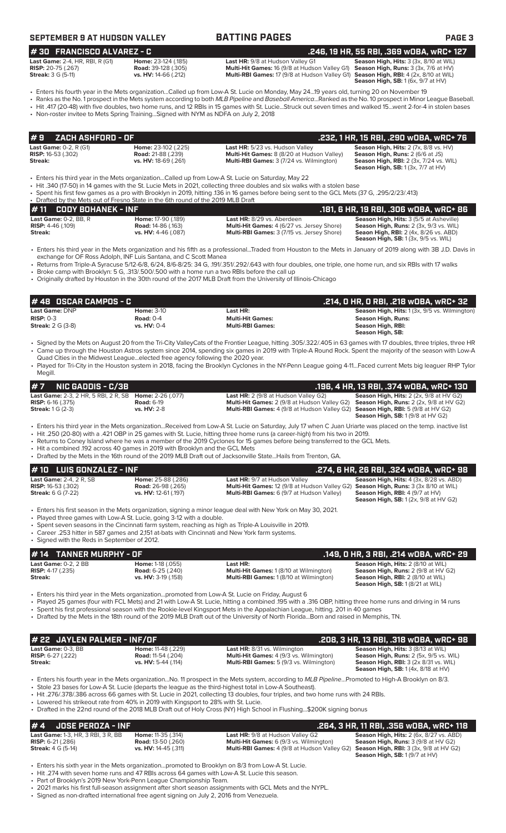**# 30 FRANCISCO ALVAREZ - C .246, 19 HR, 55 RBI, .369 wOBA, wRC+ 127**

**BATTING PAGES BATTING PAGE 3** 

|  | 246. 19 HR. 55 RBI. .369 WOBA. WRC+ 127 |  |
|--|-----------------------------------------|--|

| <b>Last Game: 2-4, HR, RBI, R (G1)</b> |
|----------------------------------------|
| <b>RISP:</b> 20-75 (.267)              |
| <b>Streak: 3 G (5-11)</b>              |

**Last HR:** 9/8 at Hudson Valley G1 **Season High, Hits:** 3 (3x, 8/10 at WIL) **Road:** 39-128 (.305) **Multi-Hit Games:** 16 (9/8 at Hudson Valley G1) **Season High, Runs:** 3 (3x, 7/6 at HVI) **RISP:** 20-75 (.267) **Road:** 39-128 (.305) **Multi-Hit Games:** 16 (9/8 at Hudson Valley G1) **Season High, Runs:** 3 (3x, 7/6 at HV) **Multi-RBI Games:** 17 (9/8 at Hudson Valley G1)

**Season High, RBI:**  $4$  (2x, 8/10 at WIL)<br>**Season High, RBI:**  $4$  (2x, 8/10 at WIL)<br>**Season High, SB:** 1 (6x, 9/7 at HV)

- Enters his fourth year in the Mets organization...Called up from Low-A St. Lucie on Monday, May 24...19 years old, turning 20 on November 19 • Ranks as the No. 1 prospect in the Mets system according to both *MLB Pipeline* and *Baseball America*...Ranked as the No. 10 prospect in Minor League Baseball.
- Hit .417 (20-48) with five doubles, two home runs, and 12 RBIs in 15 games with St. Lucie...Struck out seven times and walked 15...went 2-for-4 in stolen bases
- Non-roster invitee to Mets Spring Training...Signed with NYM as NDFA on July 2, 2018

|         | l#9    ZACH ASHFORD - OF .        |                            |                                                   | .232, 1 HR, 15 RBI, .290 wOBA, wRC+ 76        |
|---------|-----------------------------------|----------------------------|---------------------------------------------------|-----------------------------------------------|
|         | <b>Last Game:</b> $0-2$ , $R(G1)$ | <b>Home: 23-102 (.225)</b> | Last HR: 5/23 vs. Hudson Valley                   | <b>Season High, Hits: 2 (7x, 8/8 vs. HV)</b>  |
|         | <b>RISP:</b> 16-53 (.302)         | <b>Road: 21-88 (.239)</b>  | <b>Multi-Hit Games:</b> 8 (8/20 at Hudson Valley) | <b>Season High, Runs: 2 (6/6 at JS)</b>       |
| Streak: |                                   | vs. HV: 18-69 (.261)       | <b>Multi-RBI Games: 3 (7/24 vs. Wilmington)</b>   | <b>Season High, RBI:</b> 2 (3x, 7/24 vs. WIL) |
|         |                                   |                            |                                                   | <b>Season High, SB:</b> $1(3x, 7/7$ at $HV$ ) |

- Enters his third year in the Mets organization...Called up from Low-A St. Lucie on Saturday, May 22
- Hit .340 (17-50) in 14 games with the St. Lucie Mets in 2021, collecting three doubles and six walks with a stolen base
- Spent his first few games as a pro with Brooklyn in 2019, hitting .136 in 16 games before being sent to the GCL Mets (37 G, .295/2/23/.413)
- Drafted by the Mets out of Fresno State in the 6th round of the 2019 MLB Draft<br>• 11 CODY BOHANEK INF **# 11 CODY BOHANEK - INF .181, 6 HR, 19 RBI, .306 wOBA, wRC+ 86 Last Game:** 0-2, BB, R **Home:** 17-90 (.189) **Last HR:** 8/29 vs. Aberdeen **Season High, Hits:** 3 (5/5 at Asheville) **RISP:** 4-46 (.109) **Road:** 14-86 (.163) **Multi-Hit Games:** 4 (6/27 vs. Jersey Shore) **Season High, Runs:** 2 (3x, 9/3 vs. WIL) **Streak: vs. HV:** 4-46 (.087) **Multi-RBI Games:** 3 (7/15 vs. Jersey Shore) **Seaon High, RBI:** 2 (4x, 8/26 vs. ABD) **Season High, SB:** 1 (3x, 9/5 vs. WIL)
- Enters his third year in the Mets organization and his fifth as a professional...Traded from Houston to the Mets in January of 2019 along with 3B J.D. Davis in exchange for OF Ross Adolph, INF Luis Santana, and C Scott Manea
- Returns from Triple-A Syracuse 5/12-6/8, 6/24, 8/6-8/25: 34 G, .191/.351/.292/.643 with four doubles, one triple, one home run, and six RBIs with 17 walks • Broke camp with Brooklyn: 5 G, .313/.500/.500 with a home run a two RBIs before the call up
- Originally drafted by Houston in the 30th round of the 2017 MLB Draft from the University of Illinois-Chicago

| 1# 48   OSCAR CAMPOS - C   |              |                         | .214, 0 HR, 0 RBI, .218 w0BA, wRC+ 32                                                                                                                       |
|----------------------------|--------------|-------------------------|-------------------------------------------------------------------------------------------------------------------------------------------------------------|
| <b>Last Game: DNP</b>      | Home: $3-10$ | Last HR:                | <b>Season High, Hits:</b> 1 (3x, 9/5 vs. Wilmington)                                                                                                        |
| $RISP: 0-3$                | Road: $0-4$  | <b>Multi-Hit Games:</b> | Season High, Runs:                                                                                                                                          |
| <b>Streak:</b> $2 G (3-8)$ | vs. HV: 0-4  | <b>Multi-RBI Games:</b> | Season High, RBI:                                                                                                                                           |
|                            |              |                         | Season High, SB:                                                                                                                                            |
|                            |              |                         | Signed by the Mets on August 20 from the Tri-City ValleyCats of the Erontier League, bitting 305/322/405 in 63 games with 17 doubles three triples three HP |

- Signed by the Mets on August 20 from the Tri-City ValleyCats of the Frontier League, hitting .305/.322/.405 in 63 games with 17 doubles, three triples, three HR • Came up through the Houston Astros system since 2014, spending six games in 2019 with Triple-A Round Rock. Spent the majority of the season with Low-A Quad Cities in the Midwest League...elected free agency following the 2020 year.
- Played for Tri-City in the Houston system in 2018, facing the Brooklyn Cyclones in the NY-Penn League going 4-11...Faced current Mets big leaguer RHP Tylor Megill.

| $# 7$ NIC GADDIS - C/3B                                                                     |                    |                                                                                                                                      | .196. 4 HR. 13 RBI. .374 WOBA. WRC+ 130                     |
|---------------------------------------------------------------------------------------------|--------------------|--------------------------------------------------------------------------------------------------------------------------------------|-------------------------------------------------------------|
| <b>Last Game: 2-3. 2 HR. 5 RBI. 2 R. SB Home: 2-26 (.077)</b><br><b>RISP:</b> $6-16$ (.375) | <b>Road: 6-19</b>  | <b>Last HR:</b> $2(9/8$ at Hudson Valley G2)<br>Multi-Hit Games: 2 (9/8 at Hudson Valley G2) Season High, Runs: 2 (2x, 9/8 at HV G2) | <b>Season High, Hits:</b> $2$ ( $2x$ , $9/8$ at $HV$ $G2$ ) |
| <b>Streak:</b> $1 G (2-3)$                                                                  | <b>vs. HV: 2-8</b> | <b>Multi-RBI Games:</b> 4 (9/8 at Hudson Valley G2) <b>Season High, RBI:</b> 5 (9/8 at HV G2)                                        | <b>Season High, SB:</b> $1(9/8$ at HV G2)                   |

- Enters his third year in the Mets organization...Received from Low-A St. Lucie on Saturday, July 17 when C Juan Uriarte was placed on the temp. inactive list
	- Hit .250 (20-80) with a .421 OBP in 25 games with St. Lucie, hitting three home runs (a career-high) from his two in 2019. Returns to Coney Island where he was a member of the 2019 Cyclones for 15 games before being transferred to the GCL Mets.
- Hit a combined .192 across 40 games in 2019 with Brooklyn and the GCL Mets
- Drafted by the Mets in the 16th round of the 2019 MLB Draft out of Jacksonville State...Hails from Trenton, GA.

| $# 10$ LUIS GONZALEZ - INF                                                               |                                                                         |                                                                                                                                                                                 | .274. 6 HR. 26 RBI. .324 WOBA. WRC+ 98                                                                                                       |
|------------------------------------------------------------------------------------------|-------------------------------------------------------------------------|---------------------------------------------------------------------------------------------------------------------------------------------------------------------------------|----------------------------------------------------------------------------------------------------------------------------------------------|
| <b>Last Game: 2-4, 2 R, SB</b><br><b>RISP:</b> 16-53 (.302)<br><b>Streak:</b> 6 G (7-22) | Home: 25-88 (.286)<br><b>Road: 26-98 (.265)</b><br>vs. HV: 12-61 (.197) | <b>Last HR: 9/7 at Hudson Valley</b><br>Multi-Hit Games: 12 (9/8 at Hudson Valley G2) Season High, Runs: 3 (3x 8/10 at WIL)<br><b>Multi-RBI Games:</b> 6 (9/7 at Hudson Valley) | <b>Season High, Hits: 4 (3x, 8/28 vs. ABD)</b><br><b>Season High, RBI:</b> $4(9/7$ at $HV$ )<br><b>Season High, SB:</b> 1 (2x, 9/8 at HV G2) |
|                                                                                          | $\sim$ Dlayed three games with Low A St Lucie going 3.12 with a double  | • Enters his first season in the Mets organization, signing a minor league deal with New York on May 30, 2021.                                                                  |                                                                                                                                              |

- Played three games with Low-A St. Lucie, going 3-12 with a double.
- Spent seven seasons in the Cincinnati farm system, reaching as high as Triple-A Louisville in 2019. • Career .253 hitter in 587 games and 2,151 at-bats with Cincinnati and New York farm systems.
- 

• Signed with the Reds in September of 2012.

### **Last Game:** 0-2, 2 BB **Home:** 1-18 (.055) **Last HR: Season High, Hits:** 2 (8/10 at WIL) **RISP:** 4-17 (.235) **Road: 6-25 (.240) <b>Multi-Hit Games:** 1 (8/10 at Wilmington) **Streak: Streak: Streak: Streak: Streak: Wilmington Streak: 2** (158) **Road: Multi-RBI Games:** 1 (8/10 at Wilmington **Multi-RBI Games:** 1 (8/10 at Wilmington) **Season High, RBI:** 2 (8/10 at WIL)<br>**Season High, RBI:** 2 (8/10 at WIL)<br>**Season High, SB:** 1 (8/21 at WIL) **# 14 TANNER MURPHY - OF .149, 0 HR, 3 RBI, .214 wOBA, wRC+ 29**

- Enters his third year in the Mets organization...promoted from Low-A St. Lucie on Friday, August 6
- Played 25 games (four with FCL Mets) and 21 with Low-A St. Lucie, hitting a combined .195 with a .316 OBP, hitting three home runs and driving in 14 runs
- Spent his first professional season with the Rookie-level Kingsport Mets in the Appalachian League, hitting. 201 in 40 games
- Drafted by the Mets in the 18th round of the 2019 MLB Draft out of the University of North Florida...Born and raised in Memphis, TN.

| # 22 JAYLEN PALMER - INF/OF |                           |                                                | .208, 3 HR, 13 RBI, .318 wOBA, wRC+ 98,             |
|-----------------------------|---------------------------|------------------------------------------------|-----------------------------------------------------|
| <b>Last Game:</b> 0-3, BB   | <b>Home:</b> 11-48 (.229) | <b>Last HR:</b> 8/31 vs. Wilmington            | <b>Season High, Hits: 3 (8/13 at WIL)</b>           |
| <b>RISP:</b> 6-27 (.222)    | <b>Road:</b> 11-54 (.204) | <b>Multi-Hit Games:</b> 4 (9/3 vs. Wilmington) | Season High, Runs: 2 (5x, 9/5 vs. WIL)              |
| Streak:                     | vs. $HV: 5-44$ (.114)     | <b>Multi-RBI Games:</b> 5 (9/3 vs. Wilmington) | <b>Season High, RBI:</b> $3$ ( $2x$ $8/31$ vs. WIL) |
|                             |                           |                                                | <b>Season High, SB: 1 (4x, 8/18 at HV)</b>          |

- Enters his fourth year in the Mets organization...No. 11 prospect in the Mets system, according to *MLB Pipeline*...Promoted to High-A Brooklyn on 8/3.
- Stole 23 bases for Low-A St. Lucie (departs the league as the third-highest total in Low-A Southeast). • Hit .276/.378/.386 across 66 games with St. Lucie in 2021, collecting 13 doubles, four triples, and two home runs with 24 RBIs.
- Lowered his strikeout rate from 40% in 2019 with Kingsport to 28% with St. Lucie.
- Drafted in the 22nd round of the 2018 MLB Draft out of Holy Cross (NY) High School in Flushing...\$200K signing bonus

# **# 4** JOSE PEROZA - INF<br>
Last HR: 9/8 at Hudson Valley G2 Season High, Hits: 2 (6x, 8/27 vs. ABD)<br>
RISP: 6-21 (.286) RISP: 6-21 (.286) Road: 13-50 (.260) Multi-Hit Games: 6 (9/3 vs. Wilmington) Season High, Runs: 3 (9/8 at **Last Game:** 1-3, HR, 3 RBI, 3 R, BB **Home:** 11-35 (.314) **Last HR:** 9/8 at Hudson Valley G2 **Season High, Hits:** 2 (6x, 8/27 vs. ABD)

- **RISP:** 6-21 (.286) **Road:** 13-50 (.260) **Multi-Hit Games:** 6 (9/3 vs. Wilmington) **Season High, Runs:** 3 (9/8 at HV G2) **Streak: 4 G (5-14) vs. HV: 14-45 (.311) <b>Multi-RBI Games:** 4 (9/8 at Hudson Valley G2) **Season High, RBI:** 3 (3x, 9/8 at HV G2)
- 

**Season High, SB:** 1 (9/7 at HV)

- Enters his sixth year in the Mets organization...promoted to Brooklyn on 8/3 from Low-A St. Lucie.
- Hit .274 with seven home runs and 47 RBIs across 64 games with Low-A St. Lucie this season.
- Part of Brooklyn's 2019 New York-Penn League Championship Team.
- 2021 marks his first full-season assignment after short season assignments with GCL Mets and the NYPL.
- Signed as non-drafted international free agent signing on July 2, 2016 from Venezuela.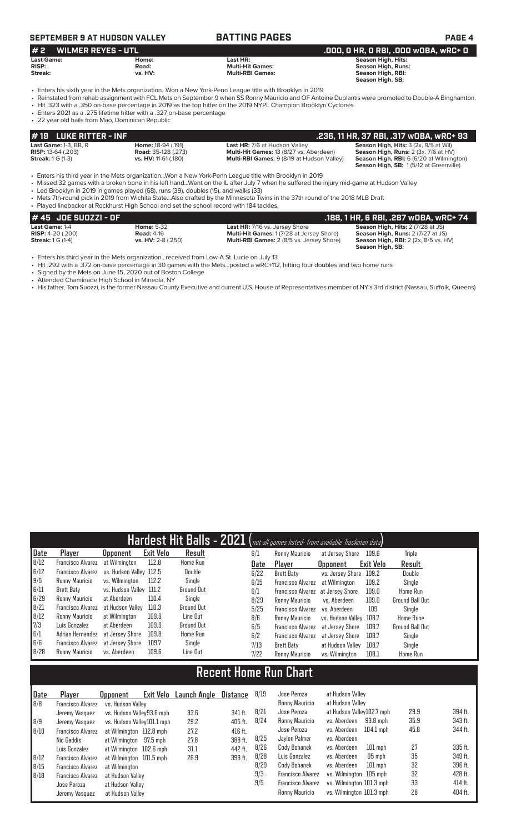# **SEPTEMBER 9 AT HUDSON VALLEY BATTING PAGES PAGE 4**

### **# 2 WILMER REYES - UTL .000, 0 HR, 0 RBI, .000 wOBA, wRC+ 0 Last Game: Home: Last HR: Season High, Hits: RISP: Road: Multi-Hit Games: Season High, Runs:**

- **Streak: vs. HV: Multi-RBI Games: Season High, RBI: Season High, SB:**  • Enters his sixth year in the Mets organization...Won a New York-Penn League title with Brooklyn in 2019
- Reinstated from rehab assignment with FCL Mets on September 9 when SS Ronny Mauricio and OF Antoine Duplantis were promoted to Double-A Binghamton.
- Hit .323 with a .350 on-base percentage in 2019 as the top hitter on the 2019 NYPL Champion Brooklyn Cyclones
- Enters 2021 as a .275 lifetime hitter with a .327 on-base percentage
- 22 year old hails from Mao, Dominican Republic

| l# 19 LUKE RITTER - INF      |                             |                                                   | . .236, 11 HR, 37 RBI, .317 wOBA, wRC+ 93 '                                                      |
|------------------------------|-----------------------------|---------------------------------------------------|--------------------------------------------------------------------------------------------------|
| <b>Last Game: 1-3, BB, R</b> | <b>Home: 18-94 (.191)</b>   | <b>Last HR: 7/6 at Hudson Valley</b>              | <b>Season High, Hits: 3 (2x, 9/5 at Wil)</b>                                                     |
| <b>RISP:</b> 13-64 (.203)    | <b>Road:</b> 35-128 (.273)  | <b>Multi-Hit Games: 13 (8/27 vs. Aberdeen)</b>    | <b>Season High, Runs:</b> $2$ ( $3x$ , $7/6$ at $HV$ )                                           |
| <b>Streak:</b> 1 G (1-3)     | <b>vs. HV:</b> 11-61 (.180) | <b>Multi-RBI Games: 9 (8/19 at Hudson Valley)</b> | <b>Season High, RBI:</b> 6 (6/20 at Wilmington)<br><b>Season High, SB: 1(5/12 at Greenville)</b> |

• Enters his third year in the Mets organization...Won a New York-Penn League title with Brooklyn in 2019<br>• Missed 32 games with a broken bone in his left hand...Went on the IL after July 7 when he suffered the

• Missed 32 games with a broken bone in his left hand...Went on the IL after July 7 when he suffered the injury mid-game at Hudson Valley

- Led Brooklyn in 2019 in games played (68), runs (39), doubles (15), and walks (33)
- Mets 7th-round pick in 2019 from Wichita State...Also drafted by the Minnesota Twins in the 37th round of the 2018 MLB Draft • Played linebacker at Rockhurst High School and set the school record with 184 tackles.

| 1# 45   JOE SUOZZI - OF    |                    |                                                  | .188. 1 HR. 6 RBI. .287 wOBA. wRC+ 74       |
|----------------------------|--------------------|--------------------------------------------------|---------------------------------------------|
| <b>Last Game: 1-4</b>      | <b>Home: 5-32</b>  | <b>Last HR: 7/16 vs. Jersey Shore</b>            | <b>Season High, Hits: 2 (7/28 at JS)</b>    |
| <b>RISP:</b> $4-20$ (.200) | <b>Road: 4-16</b>  | <b>Multi-Hit Games: 1 (7/28 at Jersey Shore)</b> | <b>Season High, Runs: 2 (7/27 at JS)</b>    |
| <b>Streak:</b> 1 G (1-4)   | vs. HV: 2-8 (.250) | <b>Multi-RBI Games: 2 (8/5 vs. Jersey Shore)</b> | <b>Season High, RBI:</b> 2 (2x, 8/5 vs. HV) |
|                            |                    |                                                  | Season High, SB:                            |

• Enters his third year in the Mets organization...received from Low-A St. Lucie on July 13

• Hit .292 with a .372 on-base percentage in 30 games with the Mets...posted a wRC+112, hitting four doubles and two home runs

- Signed by the Mets on June 15, 2020 out of Boston College
- Attended Chaminade High School in Mineola, NY
- His father, Tom Suozzi, is the former Nassau County Executive and current U.S. House of Representatives member of NY's 3rd district (Nassau, Suffolk, Queens)

| <b>Exit Velo</b><br>Player<br>Result<br>6/1<br><b>Opponent</b><br>Ronny Mauricio<br>109.6<br>Triple<br>at Jersey Shore<br><b>Francisco Alvarez</b><br>112.8<br>at Wilmington<br>Home Run<br>Exit Velo<br>Result<br>Date<br>Player<br><b>Opponent</b><br>Double<br>Francisco Alvarez<br>vs. Hudson Valley 112.5<br>6/22<br>vs. Jersey Shore<br>109.2<br>Brett Baty<br>Double<br>112.2<br>Ronny Mauricio<br>vs. Wilminaton<br>Single<br>6/15<br>109.2<br>at Wilmington<br>Single<br><b>Francisco Alvarez</b><br>vs. Hudson Valley 111.2<br>Brett Baty<br>Ground Out<br>6/1<br>109.0<br>Francisco Alvarez<br>at Jersev Shore<br>110.4<br>Single<br>Ronny Mauricio<br>at Aberdeen<br>8/29<br>109.0<br>Ronny Mauricio<br>vs. Aberdeen<br>Francisco Alvarez<br>110.3<br>at Hudson Vallev<br>Ground Out<br>5/25<br>109<br><b>Francisco Alvarez</b><br>vs. Aberdeen<br>Single<br>8/12<br>109.9<br>Line Out<br>Ronny Mauricio<br>at Wilmington<br>8/6<br>Ronny Mauricio<br>vs. Hudson Valley 108.7<br>109.9<br>Luis Gonzalez<br>Ground Out<br>at Aberdeen<br>6/5<br>108.7<br><b>Francisco Alvarez</b><br>at Jersey Shore<br>109.8<br>Adrian Hernandez<br>Home Run<br>at Jersev Shore<br>6/2<br><b>Francisco Alvarez</b><br>108.7<br>Single<br>at Jersev Shore<br>109.7<br>Francisco Alvarez<br>Single<br>at Jersev Shore<br>7/13<br>108.7<br>Brett Baty<br>at Hudson Valley<br>Single |              | Hardest Hit Balls - 2021 (not all games listed- from available Trackman data) |              |       |          |  |      |                |                |       |                        |
|------------------------------------------------------------------------------------------------------------------------------------------------------------------------------------------------------------------------------------------------------------------------------------------------------------------------------------------------------------------------------------------------------------------------------------------------------------------------------------------------------------------------------------------------------------------------------------------------------------------------------------------------------------------------------------------------------------------------------------------------------------------------------------------------------------------------------------------------------------------------------------------------------------------------------------------------------------------------------------------------------------------------------------------------------------------------------------------------------------------------------------------------------------------------------------------------------------------------------------------------------------------------------------------------------------------------------------------------------------------------------|--------------|-------------------------------------------------------------------------------|--------------|-------|----------|--|------|----------------|----------------|-------|------------------------|
|                                                                                                                                                                                                                                                                                                                                                                                                                                                                                                                                                                                                                                                                                                                                                                                                                                                                                                                                                                                                                                                                                                                                                                                                                                                                                                                                                                              | Date         |                                                                               |              |       |          |  |      |                |                |       |                        |
|                                                                                                                                                                                                                                                                                                                                                                                                                                                                                                                                                                                                                                                                                                                                                                                                                                                                                                                                                                                                                                                                                                                                                                                                                                                                                                                                                                              | 8/12         |                                                                               |              |       |          |  |      |                |                |       |                        |
|                                                                                                                                                                                                                                                                                                                                                                                                                                                                                                                                                                                                                                                                                                                                                                                                                                                                                                                                                                                                                                                                                                                                                                                                                                                                                                                                                                              | 6/12         |                                                                               |              |       |          |  |      |                |                |       |                        |
|                                                                                                                                                                                                                                                                                                                                                                                                                                                                                                                                                                                                                                                                                                                                                                                                                                                                                                                                                                                                                                                                                                                                                                                                                                                                                                                                                                              | 9/5          |                                                                               |              |       |          |  |      |                |                |       |                        |
|                                                                                                                                                                                                                                                                                                                                                                                                                                                                                                                                                                                                                                                                                                                                                                                                                                                                                                                                                                                                                                                                                                                                                                                                                                                                                                                                                                              | 6/11         |                                                                               |              |       |          |  |      |                |                |       | <b>Home Run</b>        |
|                                                                                                                                                                                                                                                                                                                                                                                                                                                                                                                                                                                                                                                                                                                                                                                                                                                                                                                                                                                                                                                                                                                                                                                                                                                                                                                                                                              | 6/29         |                                                                               |              |       |          |  |      |                |                |       | <b>Ground Ball Out</b> |
|                                                                                                                                                                                                                                                                                                                                                                                                                                                                                                                                                                                                                                                                                                                                                                                                                                                                                                                                                                                                                                                                                                                                                                                                                                                                                                                                                                              | $\vert 8/21$ |                                                                               |              |       |          |  |      |                |                |       |                        |
|                                                                                                                                                                                                                                                                                                                                                                                                                                                                                                                                                                                                                                                                                                                                                                                                                                                                                                                                                                                                                                                                                                                                                                                                                                                                                                                                                                              |              |                                                                               |              |       |          |  |      |                |                |       | <b>Home Rune</b>       |
|                                                                                                                                                                                                                                                                                                                                                                                                                                                                                                                                                                                                                                                                                                                                                                                                                                                                                                                                                                                                                                                                                                                                                                                                                                                                                                                                                                              | 7/3          |                                                                               |              |       |          |  |      |                |                |       | <b>Ground Ball Out</b> |
|                                                                                                                                                                                                                                                                                                                                                                                                                                                                                                                                                                                                                                                                                                                                                                                                                                                                                                                                                                                                                                                                                                                                                                                                                                                                                                                                                                              | 6/1          |                                                                               |              |       |          |  |      |                |                |       |                        |
|                                                                                                                                                                                                                                                                                                                                                                                                                                                                                                                                                                                                                                                                                                                                                                                                                                                                                                                                                                                                                                                                                                                                                                                                                                                                                                                                                                              | 6/6          |                                                                               |              |       |          |  |      |                |                |       |                        |
|                                                                                                                                                                                                                                                                                                                                                                                                                                                                                                                                                                                                                                                                                                                                                                                                                                                                                                                                                                                                                                                                                                                                                                                                                                                                                                                                                                              | 8/28         | Ronny Mauricio                                                                | vs. Aberdeen | 109.6 | Line Out |  | 7/22 | Ronny Mauricio | vs. Wilmington | 108.1 | <b>Home Run</b>        |

# **Recent Home Run Chart**

| Date | Player                   | Exit Velo<br><b>Opponent</b> | Launch Angle | Distance | 8/19 | Jose Peroza              | at Hudson Vallev            |      |           |
|------|--------------------------|------------------------------|--------------|----------|------|--------------------------|-----------------------------|------|-----------|
| B/B  | <b>Francisco Alvarez</b> | vs. Hudson Valley            |              |          |      | Ronny Mauricio           | at Hudson Valley            |      |           |
|      | Jeremy Vasquez           | vs. Hudson Valley93.6 mph    | 33.6         | 341 ft.  | 8/21 | Jose Peroza              | at Hudson Valley102.7 mph   | 29.9 | 394 ft.   |
| 8/9  | Jeremy Vasquez           | vs. Hudson Valley101.1 mph   | 29.2         | 405 ft.  | 8/24 | Ronny Mauricio           | vs. Aberdeen<br>93.8 mph    | 35.9 | 343 ft.   |
| 8/10 | <b>Francisco Alvarez</b> | at Wilmington 112.8 mph      | 27.2         | 416 ft.  |      | Jose Peroza              | $104.1$ mph<br>vs. Aberdeen | 45.8 | 344 ft.   |
|      | Nic Gaddis               | at Wilmington 97.5 mph       | 27.8         | 388 ft.  | 8/25 | Jaylen Palmer            | vs. Aberdeen                |      |           |
|      | Luis Gonzalez            | at Wilmington 102.6 mph      | 31.1         | 442 ft.  | 8/26 | Cody Bohanek             | vs. Aberdeen<br>$101$ mph   | -27  | $335$ ft. |
| 8/12 | Francisco Alvarez        | at Wilmington 101.5 mph      | 26.9         | 398 ft.  | 8/28 | Luis Gonzalez            | vs. Aberdeen<br>95 mph      | 35   | 349 ft.   |
| 8/15 | <b>Francisco Alvarez</b> | at Wilmington                |              |          | 8/29 | Cody Bohanek             | $101$ mph<br>vs. Aberdeen   | 32   | 396 ft.   |
| 8/18 | <b>Francisco Alvarez</b> | at Hudson Valley             |              |          | 9/3  | <b>Francisco Alvarez</b> | vs. Wilmington 105 mph      | 32   | 428 ft.   |
|      | Jose Peroza              | at Hudson Vallev             |              |          | 9/5  | <b>Francisco Alvarez</b> | vs. Wilmington 101.3 mph    | 33   | 414 ft.   |
|      | Jeremy Vasquez           | at Hudson Valley             |              |          |      | Ronny Mauricio           | vs. Wilmington 101.3 mph    | 28   | 404 ft.   |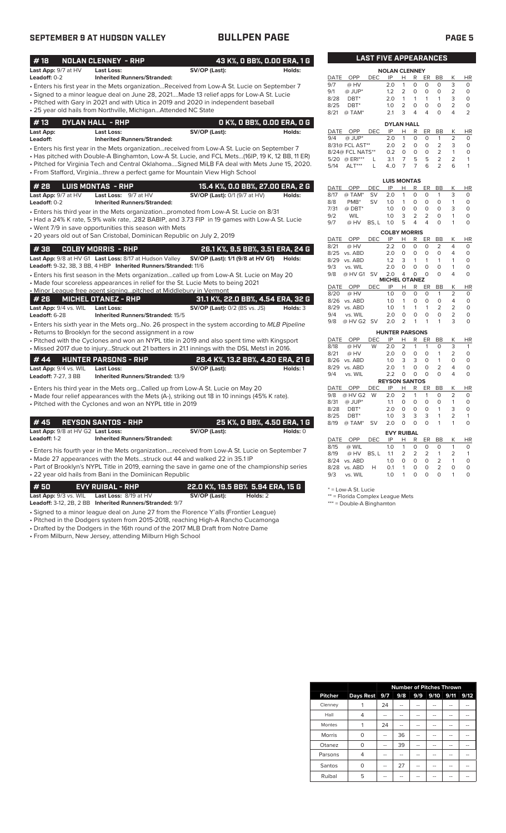# **SEPTEMBER 9 AT HUDSON VALLEY BULLPEN PAGE PAGE 5**

| #18                        | <b>NOLAN CLENNEY - RHP</b>                                              |                                                                                                 | 43 K%, O BB%, O.OO ERA, 1 G |              |                                     | <b>LAST FIVE APPEARANCES</b> |                       |                            |                         |                           |                                  |                     |                           |
|----------------------------|-------------------------------------------------------------------------|-------------------------------------------------------------------------------------------------|-----------------------------|--------------|-------------------------------------|------------------------------|-----------------------|----------------------------|-------------------------|---------------------------|----------------------------------|---------------------|---------------------------|
| Last App: 9/7 at HV        | Last Loss:                                                              | SV/OP (Last):                                                                                   | Holds:                      |              |                                     |                              | <b>NOLAN CLENNEY</b>  |                            |                         |                           |                                  |                     |                           |
| Leadoff: 0-2               | <b>Inherited Runners/Stranded:</b>                                      |                                                                                                 |                             | DATE         | OPP                                 | <b>DEC</b>                   | IP                    | H.                         | R                       | ER                        | <b>BB</b>                        | К                   | HI                        |
|                            |                                                                         | Enters his first year in the Mets organizationReceived from Low-A St. Lucie on September 7 •    |                             | 9/7          | @ HV                                |                              | 2.0                   | $\mathbf{1}$               | $\mathbf 0$             | $\circ$                   | $\Omega$                         | 3                   | $\Omega$                  |
|                            |                                                                         | · Signed to a minor league deal on June 28, 2021Made 13 relief apps for Low-A St. Lucie         |                             | 9/1          | $@$ JUP*                            |                              | 1.2                   | $\overline{2}$             | $\circ$                 | $\circ$                   | $\circ$                          | $\overline{2}$      | $\circ$                   |
|                            |                                                                         | Pitched with Gary in 2021 and with Utica in 2019 and 2020 in independent baseball               |                             | 8/28         | $DBT^*$                             |                              | 2.0                   | $\mathbf{1}$               | 1                       | $\mathbf{1}$              | 1                                | 3                   | $\Omega$                  |
|                            | • 25 year old hails from Northville, MichiganAttended NC State          |                                                                                                 |                             | 8/25<br>8/21 | $DBT^*$<br>@ TAM*                   |                              | 1.0<br>2.1            | 2<br>3                     | $\mathbf 0$<br>4        | $\circ$<br>$\overline{4}$ | 0<br>$\Omega$                    | $\overline{2}$<br>4 | $\circ$<br>$\overline{2}$ |
|                            |                                                                         |                                                                                                 |                             |              |                                     |                              |                       |                            |                         |                           |                                  |                     |                           |
| #13                        | <b>DYLAN HALL - RHP</b>                                                 |                                                                                                 | 0 K%, 0 BB%, 0.00 ERA, 0 G  |              |                                     |                              | <b>DYLAN HALL</b>     |                            |                         |                           |                                  |                     |                           |
| Last App:                  | Last Loss:                                                              | SV/OP (Last):                                                                                   | Holds:                      | DATE         | OPP                                 | DEC                          | IP                    | Н                          | $\mathsf{R}$            | <b>ER</b>                 | <b>BB</b>                        | K                   | HI                        |
| Leadoff:                   | <b>Inherited Runners/Stranded:</b>                                      |                                                                                                 |                             | 9/4          | $@$ JUP*                            |                              | 2.0                   | $\mathbf{1}$               | $\Omega$                | $\Omega$                  | $\mathbf{1}$                     | 2                   | 0                         |
|                            |                                                                         | • Enters his first year in the Mets organization…received from Low-A St. Lucie on September 7   |                             |              | 8/31@ FCL AST**<br>8/24@ FCL NATS** |                              | 2.0<br>0.2            | $\overline{2}$<br>$\circ$  | $\circ$<br>$\circ$      | $\circ$<br>$\circ$        | $\overline{2}$<br>$\overline{2}$ | 3<br>$\mathbf{1}$   | 0<br>0                    |
|                            |                                                                         | Has pitched with Double-A Binghamton, Low-A St. Lucie, and FCL Mets(16IP, 19 K, 12 BB, 11 ER) + |                             |              | 5/20 @ ERI***                       | L                            | 3.1                   | $\overline{7}$             | 5                       | 5                         | $\overline{2}$                   | $\overline{2}$      | 1                         |
|                            |                                                                         | . Pitched for Virginia Tech and Central OklahomaSigned MiLB FA deal with Mets June 15, 2020.    |                             | 5/14         | $ALT***$                            | L                            | 4.0                   | $\overline{7}$             | $\overline{7}$          | 6                         | $\overline{2}$                   | 6                   | 1                         |
|                            |                                                                         | • From Stafford, Virginiathrew a perfect game for Mountain View High School                     |                             |              |                                     |                              |                       |                            |                         |                           |                                  |                     |                           |
|                            |                                                                         |                                                                                                 |                             |              |                                     |                              | <b>LUIS MONTAS</b>    |                            |                         |                           |                                  |                     |                           |
| #28                        | <b>LUIS MONTAS - RHP</b>                                                | 15.4 K%, O.O BB%, 27.00 ERA, 2 G                                                                |                             | DATE         | OPP                                 | <b>DEC</b>                   | IP                    | Н                          | R                       | ER                        | <b>BB</b>                        | Κ                   | HI                        |
| Last App: 9/7 at HV        | Last Loss: 9/7 at HV                                                    | SV/OP (Last): 0/1 (9/7 at HV)                                                                   | Holds:                      | 8/17         | @ TAM*                              | <b>SV</b>                    | 2.0                   | 1                          | 0                       | $\Omega$                  | 1                                | 3                   | $\Omega$                  |
| Leadoff: 0-2               | <b>Inherited Runners/Stranded:</b>                                      |                                                                                                 |                             | 8/8          | PMB <sup>*</sup>                    | <b>SV</b>                    | 1.0                   | $\mathbf{1}$               | 0                       | $\circ$                   | $\mathbf 0$                      | $\mathbf{1}$        | $\circ$                   |
|                            |                                                                         | • Enters his third year in the Mets organizationpromoted from Low-A St. Lucie on 8/31           |                             | 7/31         | $@$ DBT*                            |                              | 1.0                   | $\circ$                    | $\mathbf 0$             | $\circ$                   | $\circ$                          | 3                   | $\Omega$                  |
|                            |                                                                         | • Had a 24% K rate, 5.9% walk rate, .282 BABIP, and 3.73 FIP  in 19 games with Low-A St. Lucie  |                             | 9/2          | WIL                                 |                              | 1.0                   | 3                          | $\overline{2}$          | $\overline{2}$            | $\circ$                          | $\mathbf{1}$        | $\circ$                   |
|                            | • Went 7/9 in save opportunities this season with Mets                  |                                                                                                 |                             | 9/7          | @ HV                                | BS, L                        | 1.0                   | 5                          | 4                       | 4                         | $\Omega$                         | 1                   | 0                         |
|                            | • 20 years old out of San Cristobal, Dominican Republic on July 2, 2019 |                                                                                                 |                             |              |                                     |                              | <b>COLBY MORRIS</b>   |                            |                         |                           |                                  |                     |                           |
|                            |                                                                         |                                                                                                 |                             | DATE         | OPP                                 | <b>DEC</b>                   | IP                    | Н                          | R                       | ER                        | BB                               | K                   | HI                        |
| #38                        | <b>COLBY MORRIS - RHP</b>                                               | 26.1 K%, 9.5 BB%, 3.51 ERA, 24 G                                                                |                             | 8/21<br>8/25 | @ HV<br>vs. ABD                     |                              | 2.2<br>2.0            | $\circ$<br>$\circ$         | 0<br>$\mathbf 0$        | 0<br>$\circ$              | $\overline{2}$<br>$\circ$        | 4<br>4              | 0<br>$\Omega$             |
|                            | Last App: 9/8 at HV G1 Last Loss: 8/17 at Hudson Valley                 | SV/OP (Last): 1/1 (9/8 at HV G1)                                                                | Holds:                      | 8/29         | vs. ABD                             |                              | 1.2                   | 3                          | $\mathbf{1}$            | $\mathbf{1}$              | 1                                | 1                   | $\Omega$                  |
|                            | Leadoff: 9-32, 3B, 3 BB, 4 HBP Inherited Runners/Stranded: 11/6         |                                                                                                 |                             | 9/3          | vs. WIL                             |                              | 2.0                   | $\Omega$                   | $\Omega$                | $\Omega$                  | $\Omega$                         | 1                   | $\Omega$                  |
|                            |                                                                         | Enters his first season in the Mets organizationcalled up from Low-A St. Lucie on May 20 •      |                             | 9/8          | @ HV G1                             | <b>SV</b>                    | 2.0                   | $\overline{4}$             | $\mathsf O$             | $\circ$                   | $\Omega$                         | 4                   | $\circ$                   |
|                            |                                                                         | • Made four scoreless appearances in relief for the St. Lucie Mets to being 2021                |                             |              |                                     |                              | <b>MICHEL OTANEZ</b>  |                            |                         |                           |                                  |                     |                           |
|                            | • Minor League free agent signingpitched at Middlebury in Vermont       |                                                                                                 |                             | DATE         | OPP                                 | <b>DEC</b>                   | IP                    | н                          | $\mathsf{R}$            | ER                        | <b>BB</b>                        | К                   | HI                        |
| # 26                       |                                                                         | 31.1 K%, 22.0 BB%, 4.54 ERA, 32 G                                                               |                             | 8/20         | @ HV                                |                              | 1.0                   | $\circ$                    | 0                       | $\mathbf 0$               | 1                                | 2                   | 0                         |
|                            | <b>MICHEL OTANEZ - RHP</b>                                              |                                                                                                 |                             |              | 8/26 vs. ABD                        |                              | 1.0                   | $\mathbf{1}$               | 0                       | $\circ$                   | $\mathbf 0$                      | $\overline{4}$      | 0                         |
| Last App: 9/4 vs. WIL      | <b>Last Loss:</b>                                                       | <b>SV/OP (Last): 0/2 (BS vs. JS)</b>                                                            | Holds: 3                    | 8/29         | vs. ABD                             |                              | 1.0                   | 1                          | 1                       | $\mathbf{1}$              | $\overline{2}$                   | $\overline{2}$      | $\Omega$                  |
| Leadoff: 6-28              | Inherited Runners/Stranded: 15/5                                        |                                                                                                 |                             | 9/4<br>9/8   | vs. WIL                             |                              | 2.0<br>2.0            | 0<br>$\overline{2}$        | 0<br>1                  | 0<br>1                    | $\circ$<br>$\mathbf{1}$          | $\overline{2}$<br>3 | $\circ$<br>$\Omega$       |
|                            |                                                                         | Enters his sixth year in the Mets orgNo. 26 prospect in the system according to MLB Pipeline    |                             |              | @ HV G2 SV                          |                              |                       |                            |                         |                           |                                  |                     |                           |
|                            | • Returns to Brooklyn for the second assignment in a row                |                                                                                                 |                             |              |                                     |                              | <b>HUNTER PARSONS</b> |                            |                         |                           |                                  |                     |                           |
|                            |                                                                         | Pitched with the Cyclones and won an NYPL title in 2019 and also spent time with Kingsport      |                             | DATE         | <b>OPP</b>                          | <b>DEC</b>                   | IP                    | н                          | R                       | ER                        | <b>BB</b>                        | Κ                   | HI                        |
|                            |                                                                         | • Missed 2017 due to injuryStruck out 21 batters in 21.1 innings with the DSL Mets1 in 2016.    |                             | 8/18         | @ HV<br>@ HV                        | W                            | 2.0<br>2.0            | $\overline{2}$<br>$\Omega$ | $\mathbf{1}$<br>$\circ$ | $\mathbf{1}$<br>$\circ$   | 0<br>1                           | 3<br>$\overline{2}$ | $\mathbf{1}$<br>$\Omega$  |
| #44                        | <b>HUNTER PARSONS - RHP</b>                                             | 28.4 K%, 13.2 BB%, 4.20 ERA, 21 G                                                               |                             | 8/21<br>8/26 | vs. ABD                             |                              | 1.0                   | 3                          | 3                       | $\circ$                   | $\mathbf{1}$                     | $\circ$             | $\mathbf 0$               |
|                            |                                                                         |                                                                                                 |                             | 8/29         | vs. ABD                             |                              | 2.0                   | 1                          | $\mathbf 0$             | $\circ$                   | $\overline{2}$                   | $\overline{4}$      | $\Omega$                  |
| Last App: 9/4 vs. WIL      | <b>Last Loss:</b><br><b>Inherited Runners/Stranded: 13/9</b>            | SV/OP (Last):                                                                                   | Holds: 1                    | 9/4          | vs. WIL                             |                              | 2.2                   | $\circ$                    | $\circ$                 | $\circ$                   | $\Omega$                         | 4                   | $\mathbf 0$               |
| <b>Leadoff:</b> 7-27, 3 BB |                                                                         |                                                                                                 |                             |              |                                     |                              | <b>REYSON SANTOS</b>  |                            |                         |                           |                                  |                     |                           |
|                            |                                                                         | • Enters his third year in the Mets orgCalled up from Low-A St. Lucie on May 20                 |                             | DATE         | OPP                                 | DEC                          | IP                    | н                          | R                       | ER                        | BB                               | Κ                   | HI                        |
|                            |                                                                         | • Made four relief appearances with the Mets (A-), striking out 18 in 10 innings (45% K rate).  |                             | 9/8          | @ HV G2                             | W                            | 2.0                   | $\overline{2}$             | $\mathbf{1}$            | $\mathbf{1}$              | $\Omega$                         | $\overline{2}$      | $\Omega$                  |
|                            | • Pitched with the Cyclones and won an NYPL title in 2019               |                                                                                                 |                             | 8/31         | $@$ JUP <sup>*</sup>                |                              | 1.1                   | 0                          | $\circ$                 | $\circ$                   | $\circ$                          | $\mathbf{1}$        | 0                         |
|                            |                                                                         |                                                                                                 |                             | 8/28         | DBT <sup>*</sup>                    |                              | 2.0                   | $\circ$                    | $\circ$                 | $\circ$                   | 1                                | 3                   | $\Omega$                  |
|                            |                                                                         |                                                                                                 |                             | 8/25         | DBT*                                |                              | 1.0                   | 3                          | 3                       | 3                         | 1                                | $\overline{2}$      | 1                         |
| #45                        | <b>REYSON SANTOS - RHP</b>                                              |                                                                                                 | 25 K%, O BB%, 4.50 ERA, 1 G | 8/19         | @ TAM*                              | <b>SV</b>                    | 2.0                   | $\Omega$                   | $\Omega$                | $\Omega$                  | 1                                | $\mathbf{1}$        | $\Omega$                  |

| Last App: 9/8 at HV G2 Last Loss: |                                    | SV/OP (Last): |  | Holds: 0 |
|-----------------------------------|------------------------------------|---------------|--|----------|
| Leadoff: 1-2                      | <b>Inherited Runners/Stranded:</b> |               |  |          |

• Enters his fourth year in the Mets organization....received from Low-A St. Lucie on September 7 • Made 27 appearances with the Mets...struck out 44 and walked 22 in 35.1 IP

• Part of Brooklyn's NYPL Title in 2019, earning the save in game one of the championship series • 22 year old hails from Bani in the Domiinican Republic

| # 50 | EVY RUIBAL - RHP                                        |               | 22.0 K%. 19.5 BB% 5.94 ERA. 15 G |
|------|---------------------------------------------------------|---------------|----------------------------------|
|      | Last App: 9/3 vs. WIL Last Loss: 8/19 at HV             | SV/OP (Last): | Holds: 2                         |
|      | Leadoff: 3-12, 2B, 2 BB Inherited Runners/Stranded: 9/7 |               |                                  |

- Signed to a minor league deal on June 27 from the Florence Y'alls (Frontier League)
- Pitched in the Dodgers system from 2015-2018, reaching High-A Rancho Cucamonga • Drafted by the Dodgers in the 16th round of the 2017 MLB Draft from Notre Dame

• From Milburn, New Jersey, attending Milburn High School

|                      |                  | <b>LAST FIVE APPEARANCES</b> |                   |                |          |          |           |                |                |  |
|----------------------|------------------|------------------------------|-------------------|----------------|----------|----------|-----------|----------------|----------------|--|
| <b>NOLAN CLENNEY</b> |                  |                              |                   |                |          |          |           |                |                |  |
| DATE                 | OPP              | <b>DEC</b>                   | IP                | н              | R        | ER       | BB        | К              | HR             |  |
| 9/7                  | @ HV             |                              | 2.0               | 1              | 0        | O        | O         | 3              | $\Omega$       |  |
| 9/1                  | $@$ JUP*         |                              | 1.2               | $\overline{2}$ | 0        | O        | O         | $\overline{2}$ | $\Omega$       |  |
| 8/28                 | DBT <sup>*</sup> |                              | 2.0               | 1              | 1        | 1        | 1         | 3              | $\Omega$       |  |
| 8/25                 | DBT*             |                              | 1.0               | $\overline{2}$ | $\Omega$ | $\Omega$ | $\Omega$  | $\overline{2}$ | $\Omega$       |  |
| 8/21                 | @ TAM*           |                              | 2.1               | 3              | 4        | 4        | O         | 4              | $\overline{2}$ |  |
|                      |                  |                              | <b>DYLAN HALL</b> |                |          |          |           |                |                |  |
|                      |                  |                              |                   |                |          |          |           |                |                |  |
| DATE                 | OPP              | DEC                          | IP                | Н              | R        | ER       | <b>BB</b> | K              | <b>HR</b>      |  |
| 9/4                  | $@$ JUP*         |                              | 2.0               | 1              | 0        | 0        | 1         | 2              | O              |  |
|                      | 8/31@ FCL AST**  |                              | 2.0               | $\overline{2}$ | 0        | 0        | 2         | 3              | 0              |  |

| $\varpi$ JUP* |                                     |          |              |               |                |     |  |
|---------------|-------------------------------------|----------|--------------|---------------|----------------|-----|--|
|               | 2 O                                 |          |              | O.            |                | - 2 |  |
|               | 0.2                                 | $\Omega$ | <sup>n</sup> | $\Omega$      |                |     |  |
| 5/20 @ ERI*** | 3.1                                 |          |              | 5.            |                |     |  |
| 5/14 ALT***   | 4 O                                 |          |              | 6.            |                |     |  |
|               | 8/31@ FCL AST**<br>8/24@ FCL NATS** |          | 2 O          | $\sim$ 1<br>2 | $\Omega$<br>5. | 0 0 |  |

|      |                  |       | <b>LUIS MONTAS</b>  |          |               |          |           |                |        |
|------|------------------|-------|---------------------|----------|---------------|----------|-----------|----------------|--------|
| DATE | OPP              | DEC   | IP                  | н        | R             | ER       | <b>BB</b> | Κ              | ΗR     |
| 8/17 | @ TAM*           | SV    | 2.0                 | 1        | 0             | O        | 1         | 3              | 0      |
| 8/8  | PMB <sup>*</sup> | SV    | 1.0                 | 1        | 0             | 0        | O         | 1              | 0      |
| 7/31 | $@$ DBT*         |       | 1.0                 | 0        | 0             | O        | 0         | 3              | 0      |
| 9/2  | <b>WIL</b>       |       | 1.0                 | 3        | 2             | 2        | 0         | 1              | 0      |
| 9/7  | @ HV             | BS, L | 1.0                 | 5        | 4             | 4        | O         | 1              | 0      |
|      |                  |       | <b>COLBY MORRIS</b> |          |               |          |           |                |        |
| DATE | OPP              | DEC   | IP                  | н        | R             | ER       | BB        | Κ              | ΗR     |
| 8/21 | @ HV             |       | 2.2                 | $\Omega$ | 0             | O        | 2         | 4              | 0      |
| 8/25 | vs. ABD          |       | 2.0                 | $\Omega$ | 0             | O        | O         | 4              | 0      |
| 8/29 | vs. ABD          |       | 1.2                 | 3        | 1             | 1        | 1         | 1              | 0      |
| 9/3  | vs. WIL          |       | 2.0                 | 0        | 0             | 0        | O         | 1              | 0      |
| 9/8  | @ HV G1          | SV    | 2.0                 | 4        | 0             | 0        | O         | 4              | 0      |
|      |                  |       | <b>MICHEL</b>       |          | <b>OTANEZ</b> |          |           |                |        |
| DATE | OPP              | DEC   | IP                  | Н        | R             | ER       | BB        | Κ              | ΗR     |
| 8/20 | @ HV             |       | 1.0                 | 0        | $\Omega$      | 0        | 1         | $\overline{2}$ | 0      |
| 8/26 | vs. ABD          |       | 1.0                 | 1        | 0             | Ο        | Ο         | 4              | 0      |
| 8/29 | vs. ABD          |       | 1.0                 | 1        | 1             | 1        | 2         | $\overline{2}$ | 0      |
| 9/4  | vs. WIL          |       | 2.0                 | ∩        | ∩             | $\Omega$ | 0         | $\overline{2}$ | 0      |
| 0/0  | $@$ LIV $C2$     | C1    | $\Omega$            | C        | 1             | 1        | 1         | C              | $\cap$ |

|             | <b>HUNTER PARSONS</b> |       |                      |                |                |    |                |                |    |  |
|-------------|-----------------------|-------|----------------------|----------------|----------------|----|----------------|----------------|----|--|
| <b>DATE</b> | OPP                   | DEC   | IP                   | н              | R              | ER | ВB             | Κ              | HR |  |
| 8/18        | @ HV                  | W     | 2.0                  | $\overline{2}$ | 1              | 1  | O              | 3              | 1  |  |
| 8/21        | @ HV                  |       | 2.0                  | $\Omega$       | 0              | O  | 1              | 2              | 0  |  |
| 8/26        | vs. ABD               |       | 1.0                  | 3              | 3              | O  | 1              | 0              | 0  |  |
| 8/29        | vs. ABD               |       | 2.0                  | 1              | 0              | O  | $\overline{2}$ | 4              | 0  |  |
| 9/4         | vs. WIL               |       | 2.2                  | O              | 0              | 0  | O              | 4              | 0  |  |
|             |                       |       | <b>REYSON SANTOS</b> |                |                |    |                |                |    |  |
| DATE        | OPP                   | DEC   | IP                   | Н              | R              | ER | BB             | Κ              | ΗR |  |
| 9/8         | @ HV G2               | W     | 2.0                  | $\overline{2}$ | 1              | 1  | O              | $\overline{2}$ | 0  |  |
| 8/31        | @ JUP*                |       | 1.1                  | $\Omega$       | 0              | O  | O              | 1              | 0  |  |
| 8/28        | DBT*                  |       | 2.0                  | 0              | 0              | 0  | 1              | 3              | 0  |  |
| 8/25        | DBT*                  |       | 1.0                  | 3              | 3              | 3  | 1              | 2              | 1  |  |
| 8/19        | @ TAM*                | SV    | 2.0                  | 0              | 0              | O  | 1              | 1              | 0  |  |
|             |                       |       | <b>EVY RUIBAL</b>    |                |                |    |                |                |    |  |
| DATE        | OPP                   | DEC   | IP                   | н              | R              | ER | BB             | Κ              | HR |  |
| 8/15        | @ WIL                 |       | 1.0                  | 1              | 0              | 0  | 0              | 1              | 0  |  |
| 8/19        | @ HV                  | BS, L | 1.1                  | 2              | $\overline{2}$ | 2  | 1              | 2              | 1  |  |
| 8/24        | vs. ABD               |       | 1.0                  | 0              | 0              | O  | 2              | 1              | 0  |  |
| 8/28        | vs. ABD               | н     | 0.1                  | 1              | 0              | 0  | $\overline{2}$ | O              | 0  |  |
| 9/3         | vs. WIL               |       | 1.0                  | 1              | 0              | 0  | O              | 1              | 0  |  |

\* = Low-A St. Lucie

\*\* = Florida Complex League Mets

\*\*\* = Double-A Binghamton

|                |                  |     | <b>Number of Pitches Thrown</b> |     |      |      |      |
|----------------|------------------|-----|---------------------------------|-----|------|------|------|
| <b>Pitcher</b> | <b>Days Rest</b> | 9/7 | 9/8                             | 9/9 | 9/10 | 9/11 | 9/12 |
| Clenney        |                  | 24  |                                 |     |      |      |      |
| Hall           | 4                |     | --                              | --  |      |      | --   |
| Montes         |                  | 24  |                                 |     |      |      |      |
| Morris         | O                | --  | 36                              | --  |      | --   | --   |
| Otanez         | O                |     | 39                              |     |      |      |      |
| Parsons        | 4                |     |                                 |     |      |      |      |
| Santos         | 0                |     | 27                              |     |      |      |      |
| Ruibal         | 5                |     |                                 |     |      |      |      |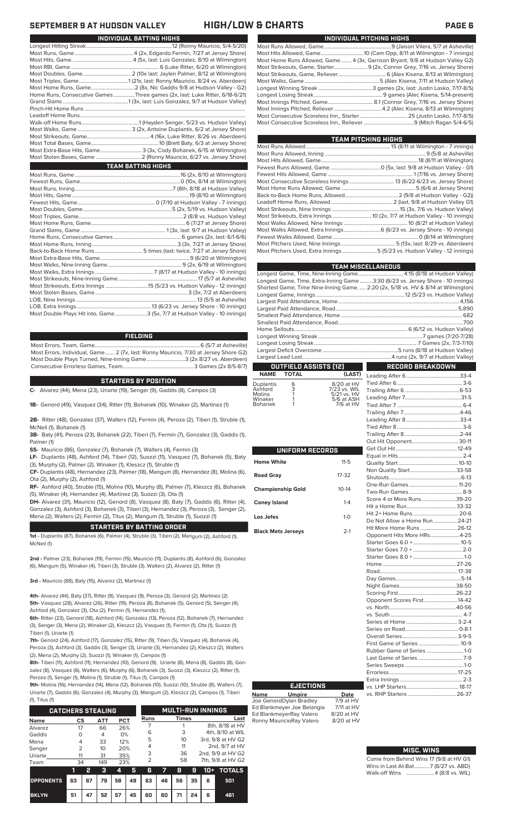| INDIVIDUAL PITCHING HIGHS                                                     |
|-------------------------------------------------------------------------------|
|                                                                               |
|                                                                               |
| Most Home Runs Allowed, Game 4 (3x, Garrison Bryant, 9/8 at Hudson Valley G2) |
| Most Strikeouts, Game, Starter 9 (2x, Connor Grey, 7/16 vs. Jersey Shore)     |
|                                                                               |
|                                                                               |
|                                                                               |
|                                                                               |
|                                                                               |
|                                                                               |
|                                                                               |
|                                                                               |

| TEAM PITCHING HIGHS                                                       |  |
|---------------------------------------------------------------------------|--|
|                                                                           |  |
|                                                                           |  |
|                                                                           |  |
|                                                                           |  |
|                                                                           |  |
|                                                                           |  |
|                                                                           |  |
|                                                                           |  |
|                                                                           |  |
|                                                                           |  |
|                                                                           |  |
|                                                                           |  |
| Most Walks Allowed, Extra Innings 6 (6/23 vs. Jersey Shore - 10 innings)  |  |
|                                                                           |  |
|                                                                           |  |
| Most Pitchers Used, Extra Innings 5 (5/23 vs. Hudson Valley - 12 innings) |  |
|                                                                           |  |

| <b>TEAM MISCELLANEOUS</b>                                                          |                         |
|------------------------------------------------------------------------------------|-------------------------|
| Longest Game, Time, Nine-Inning Game 4:15 (8/18 at Hudson Valley)                  |                         |
| Longest Game, Time, Extra-Inning Game3:30 (6/23 vs. Jersey Shore - 10 innings)     |                         |
| Shortest Game, Time Nine-Inning Game.  2:20 (2x, 5/18 vs. HV & 8/14 at Wilmington) |                         |
|                                                                                    |                         |
|                                                                                    |                         |
|                                                                                    |                         |
|                                                                                    |                         |
|                                                                                    |                         |
|                                                                                    |                         |
|                                                                                    |                         |
|                                                                                    |                         |
|                                                                                    |                         |
|                                                                                    |                         |
| <b>OUTFIELD ASSISTS [12]</b><br>- 11                                               | <b>RECORD BREAKDOWN</b> |

### **OUTFIELD ASSISTS (12) TOTAL** Leading After 6........................................33-4

| <b>Duplantis</b><br>Ashford<br>Molina | 6<br>3 | 8/20 at HV<br>7/23 vs. WIL<br>5/21 vs. HV |
|---------------------------------------|--------|-------------------------------------------|
| Winaker                               |        | 5/6 at ASH                                |
| <b>Bohanek</b>                        |        | 7/6 at HV                                 |

| UNIFORM RECORDS           |              |
|---------------------------|--------------|
| <b>Home White</b>         | $11 - 5$     |
| <b>Road Gray</b>          | 17-32        |
| <b>Championship Gold</b>  | $10 - 14$    |
| <b>Coney Island</b>       | $1 - 4$      |
| Los Jefes                 | $1 - \Omega$ |
| <b>Black Mets Jerseys</b> | $2-1$        |

| Non Quality Start 33-58       |  |
|-------------------------------|--|
|                               |  |
|                               |  |
|                               |  |
| Score 4 or More Runs39-20     |  |
|                               |  |
| Hit 2+ Home Runs  20-6        |  |
| Do Not Allow a Home Run 24-21 |  |
| Hit More Home Runs  26-12     |  |
| Opponent Hits More HRs4-25    |  |
|                               |  |
|                               |  |
|                               |  |
|                               |  |
|                               |  |
|                               |  |
|                               |  |
|                               |  |
| Opponent Scores First 14-42   |  |
|                               |  |
|                               |  |
|                               |  |
|                               |  |
|                               |  |
|                               |  |
| Rubber Game of Series 1-0     |  |
|                               |  |
|                               |  |
|                               |  |
|                               |  |
|                               |  |
|                               |  |
|                               |  |

### **MISC. WINS**

| Come from Behind Wins 17 (9/8 at HV G1) |
|-----------------------------------------|
| Wins in Last At-Bat7 (8/27 vs. ABD)     |
| Walk-off Wins 4 (8/8 vs. WIL)           |

## **SEPTEMBER 9 AT HUDSON VALLEY HIGH/LOW & CHARTS PAGE 6**

| INDIVIDUAL BATTING HIGHS                                                    |
|-----------------------------------------------------------------------------|
|                                                                             |
|                                                                             |
|                                                                             |
|                                                                             |
|                                                                             |
|                                                                             |
|                                                                             |
| Home Runs, Consecutive Games Three games (2x, last: Luke Ritter, 6/18-6/21) |
|                                                                             |
|                                                                             |
|                                                                             |
|                                                                             |
|                                                                             |
|                                                                             |
|                                                                             |
| Most Extra-Base Hits, Game 3 (3x, Cody Bohanek, 6/15 at Wilmington)         |
|                                                                             |
| <b>TEAM BATTING HIGHS</b>                                                   |
|                                                                             |
|                                                                             |
|                                                                             |
|                                                                             |
|                                                                             |
|                                                                             |
|                                                                             |
|                                                                             |
|                                                                             |
|                                                                             |
|                                                                             |
|                                                                             |
|                                                                             |
|                                                                             |
|                                                                             |
|                                                                             |
|                                                                             |
|                                                                             |
|                                                                             |
| Most Double Plays Hit into, Game3 (5x, 7/7 at Hudson Valley - 10 innings)   |
|                                                                             |

### **FIELDING**

Most Errors, Team, Game...............................................................................6 (5/7 at Asheville) Most Errors, Individual, Game....... 2 (7x, last: Ronny Mauricio, 7/30 at Jersey Shore G2) Most Double Plays Turned, Nine-Inning Game.............................3 (2x 8/27 vs. Aberdeen) Consecutive Errorless Games, Team.

### **STARTERS BY POSITION**

**C-** Alvarez (44), Mena (23), Uriarte (19), Senger (9), Gaddis (8), Campos (3)

**1B-** Genord (49), Vasquez (34), Ritter (11), Bohanek (10), Winaker (2), Martinez (1)

**2B-** Ritter (48), Gonzalez (37), Walters (12), Fermin (4), Peroza (2), Tiberi (1), Struble (1), McNeil (1), Bohanek (1)

**3B-** Baty (41), Peroza (23), Bohanek (22), Tiberi (7), Fermin (7), Gonzalez (3), Gaddis (1), Palmer (1)

**SS-** Mauricio (86), Gonzalez (7), Bohanek (7), Walters (4), Fermin (3)

**LF-** Duplantis (48), Ashford (14), Tiberi (12), Suozzi (11), Vasquez (7), Bohanek (5), Baty (3), Murphy (2), Palmer (2), Winaker (1), Kleszcz (1), Struble (1)

**CF-** Duplantis (48), Hernandez (23), Palmer (18), Mangum (8), Hernandez (8), Molina (6), Ota (2), Murphy (2), Ashford (1)

**RF-** Ashford (40), Struble (15), Molina (10), Murphy (8), Palmer (7), Kleszcz (6), Bohanek (5), Winaker (4), Hernandez (4), Martinez (3), Suozzi (3), Ota (1)

**DH-** Alvarez (31), Mauricio (12), Genord (8), Vasquez (8), Baty (7), Gaddis (6), Ritter (4), Gonzalez (3), Ashford (3), Bohanek (3), Tiberi (3), Hernandez (3), Peroza (3), Senger (2), Mena (2), Walters (2), Fermin (2), Titus (2), Mangum (1), Struble (1), Suozzi (1)

### **STARTERS BY BATTING ORDER**

**1st -** Duplantis (87), Bohanek (6), Palmer (4), Struble (3), Tiberi (2), Mangum (2), Ashford (1), McNeil (1)

**2nd -** Palmer (23), Bohanek (19), Fermin (15), Mauricio (11), Duplantis (8), Ashford (6), Gonzalez (6), Mangum (5), Winaker (4), Tiberi (3), Struble (3), Walters (2), Alvarez (2), Ritter (1)

**3rd -** Mauricio (88), Baty (15), Alvarez (2), Martinez (1)

**4th-** Alvarez (44), Baty (37), Ritter (9), Vasquez (9), Peroza (3), Genord (2), Martinez (2) **5th-** Vasquez (28), Alvarez (26), Ritter (19), Peroza (8), Bohanek (5), Genord (5), Senger (4), Ashford (4), Gonzalez (3), Ota (2), Fermin (1), Hernandez (1),

**6th-** Ritter (23), Genord (18), Ashford (14), Gonzalez (13), Peroza (12), Bohanek (7), Hernandez (3), Senger (3), Mena (2), Winaker (2), Kleszcz (2), Vasquez (1), Fermin (1), Ota (1), Suozzi (1) Tiberi (1), Uriarte (1)

**7th-** Genord (24), Ashford (17), Gonzalez (15), Ritter (9), Tiberi (5), Vasquez (4), Bohanek (4), Peroza (3), Ashford (3), Gaddis (3), Senger (3), Uriarte (3), Hernandez (2), Kleszcz (2), Walters (2), Mena (2), Murphy (2), Suozzi (1), Winaker (1), Campos (1)

**8th-** Tiberi (11), Ashford (11), Hernandez (10), Genord (9), Uriarte (8), Mena (8), Gaddis (8), Gonzalez (8), Vasquez (6), Walters (6), Murphy (6), Bohanek (3), Suozzi (3), Kleszcz (2), Ritter (1), Peroza (1), Senger (1), Molina (1), Struble (1), Titus (1), Campos (1)

**9th-** Molina (16), Hernandez (14), Mena (12), Bohanek (10), Suozzi (10), Struble (8), Walters (7), Uriarte (7), Gaddis (6), Gonzalez (4), Murphy (3), Mangum (2), Kleszcz (2), Campos (1), Tiberi  $(4)$ , Titus (1)

| 11, 110311               |               |    |     |            |    |                |    |                          |    |       |                   |
|--------------------------|---------------|----|-----|------------|----|----------------|----|--------------------------|----|-------|-------------------|
| <b>CATCHERS STEALING</b> |               |    |     |            |    |                |    | <b>MULTI-RUN INNINGS</b> |    |       |                   |
| <b>Name</b>              | CS            |    | ATT | <b>PCT</b> |    | Runs           |    | <b>Times</b>             |    |       | Last              |
| Alvarez                  | 17            |    | 66  | 26%        |    |                |    |                          |    |       | 8th, 8/18 at HV   |
| Gaddis                   | ∩             |    | 4   | 0%         |    | 6              |    | 3                        |    |       | 4th, 8/10 at WIL  |
| Mena                     | 4             |    | 33  | 12%        |    | 5              |    | 10                       |    |       | 3rd, 9/8 at HV G2 |
| Senger                   | $\mathcal{P}$ |    | 10  | 20%        |    | 4              |    | 11                       |    |       | 2nd, 9/7 at HV    |
| Uriarte                  | 11            |    | 31  | 35%        |    | 3              |    | 36                       |    |       | 2nd, 9/9 at HV G2 |
| Team                     | 34            |    | 149 | 23%        |    | $\overline{2}$ |    | 58                       |    |       | 7th, 9/8 at HV G2 |
|                          | 1             | 2  | з   | 4          | 5  | 6              |    | 8                        | 9  | $10+$ | <b>TOTALS</b>     |
| <b>OPPONENTS</b>         | 63            | 67 | 79  | 58         | 49 | 63             | 46 | 56                       | 35 | 6     | 501               |
| <b>BKLYN</b>             | 51            | 47 | 52  | 57         | 45 | 60             | 60 | 71                       | 24 | 6     | 461               |

**Name Umpire Date** Joe GenordDylan Bradley 7/9 at HV

Ed BlankmeyerRay Valero 8/20 at HV<br>Ronny MauricioRay Valero 8/20 at HV Ronny MauricioRay Valero

**EJECTIONS**

Ed Blankmeyer Joe Belangia 7/11 at HV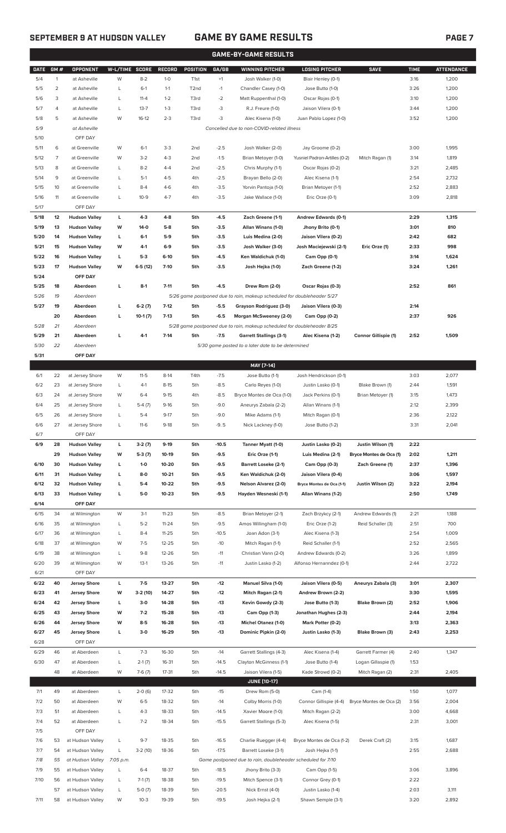# **SEPTEMBER 9 AT HUDSON VALLEY GAME BY GAME RESULTS PAGE 7**

|              |          |                                              |                |                    |                    |                  |                  | <b>GAME-BY-GAME RESULTS</b>                                                                               |                                                    |                             |              |                   |
|--------------|----------|----------------------------------------------|----------------|--------------------|--------------------|------------------|------------------|-----------------------------------------------------------------------------------------------------------|----------------------------------------------------|-----------------------------|--------------|-------------------|
| <b>DATE</b>  | GM#      | OPPONENT                                     | W-L/TIME SCORE |                    | <b>RECORD</b>      | POSITION         | GA/GB            | <b>WINNING PITCHER</b>                                                                                    | <b>LOSING PITCHER</b>                              | <b>SAVE</b>                 | <b>TIME</b>  | <b>ATTENDANCE</b> |
| 5/4          | 1        | at Asheville                                 | W              | $8 - 2$            | $1 - 0$            | T <sub>1st</sub> | $+1$             | Josh Walker (1-0)                                                                                         | Blair Henley (0-1)                                 |                             | 3:16         | 1,200             |
| 5/5          | 2        | at Asheville                                 | L              | $6-1$              | $1 - 1$            | T2nd             | $-1$             | Chandler Casey (1-0)                                                                                      | Jose Butto (1-0)                                   |                             | 3:26         | 1,200             |
| 5/6          | 3        | at Asheville                                 | L              | $11 - 4$           | $1 - 2$            | T3rd             | $-2$             | Matt Ruppenthal (1-0)                                                                                     | Oscar Rojas (0-1)                                  |                             | 3:10         | 1,200             |
| 5/7          | 4        | at Asheville                                 | L              | $13 - 7$           | $1 - 3$            | T3rd             | -3               | R.J. Freure (1-0)                                                                                         | Jaison Vilera (0-1)                                |                             | 3:44         | 1,200             |
| 5/8          | 5        | at Asheville                                 | W              | $16-12$            | $2 - 3$            | T3rd             | -3               | Alec Kisena (1-0)                                                                                         | Juan Pablo Lopez (1-0)                             |                             | 3:52         | 1,200             |
| 5/9          |          | at Asheville                                 |                |                    |                    |                  |                  | Cancelled due to non-COVID-related illness                                                                |                                                    |                             |              |                   |
| 5/10         |          | OFF DAY                                      |                |                    |                    |                  |                  |                                                                                                           |                                                    |                             |              |                   |
| 5/11         | 6        | at Greenville<br>at Greenville               | W              | $6-1$              | $3-3$              | 2 <sub>nd</sub>  | $-2.5$           | Josh Walker (2-0)                                                                                         | Jay Groome (0-2)                                   |                             | 3:00         | 1,995             |
| 5/12<br>5/13 | 7<br>8   | at Greenville                                | W<br>L         | $3 - 2$<br>$8 - 2$ | $4 - 3$<br>$4 - 4$ | 2nd<br>2nd       | $-1.5$<br>$-2.5$ | Brian Metoyer (1-0)<br>Chris Murphy (1-1)                                                                 | Yusniel Padron-Artilles (0-2)<br>Oscar Rojas (0-2) | Mitch Ragan (1)             | 3:14<br>3:21 | 1,819<br>2,485    |
| 5/14         | 9        | at Greenville                                | L              | $5-1$              | $4 - 5$            | 4th              | $-2.5$           | Brayan Bello (2-0)                                                                                        | Alec Kisena (1-1)                                  |                             | 2:54         | 2,732             |
| 5/15         | 10       | at Greenville                                | L              | $8 - 4$            | $4-6$              | 4th              | $-3.5$           | Yorvin Pantoja (1-0)                                                                                      | Brian Metoyer (1-1)                                |                             | 2:52         | 2,883             |
| 5/16         | 11       | at Greenville                                | L              | $10 - 9$           | $4 - 7$            | 4th              | $-3.5$           | Jake Wallace (1-0)                                                                                        | Eric Orze (0-1)                                    |                             | 3:09         | 2,818             |
| 5/17         |          | OFF DAY                                      |                |                    |                    |                  |                  |                                                                                                           |                                                    |                             |              |                   |
| 5/18         | 12       | <b>Hudson Valley</b>                         | L              | $4-3$              | $4 - 8$            | 5th              | $-4.5$           | Zach Greene (1-1)                                                                                         | <b>Andrew Edwards (0-1)</b>                        |                             | 2:29         | 1,315             |
| 5/19         | 13       | <b>Hudson Valley</b>                         | W              | $14-0$             | $5-8$              | 5th              | $-3.5$           | Allan Winans (1-0)                                                                                        | Jhony Brito (0-1)                                  |                             | 3:01         | 810               |
| 5/20         | 14       | <b>Hudson Valley</b>                         | L              | $6-1$              | $5-9$              | 5th              | $-3.5$           | Luis Medina (2-0)                                                                                         | Jaison Vilera (0-2)                                |                             | 2:42         | 682               |
| 5/21         | 15       | <b>Hudson Valley</b>                         | W              | 4-1                | $6-9$              | 5th              | $-3.5$           | Josh Walker (3-0)                                                                                         | Josh Maciejewski (2-1)                             | Eric Orze (1)               | 2:33         | 998               |
| 5/22         | 16       | <b>Hudson Valley</b>                         | L              | $5-3$              | $6-10$             | 5th              | $-4.5$           | Ken Waldichuk (1-0)                                                                                       | Cam Opp (0-1)                                      |                             | 3:14         | 1,624             |
| 5/23         | 17       | <b>Hudson Valley</b>                         | W              | $6-5(12)$          | $7-10$             | 5th              | $-3.5$           | Josh Hejka (1-0)                                                                                          | Zach Greene (1-2)                                  |                             | 3:24         | 1,261             |
| 5/24         |          | OFF DAY                                      |                |                    |                    |                  |                  |                                                                                                           |                                                    |                             |              |                   |
| 5/25         | 18       | Aberdeen                                     | L              | $8-1$              | $7 - 11$           | 5th              | $-4.5$           | Drew Rom (2-0)                                                                                            | Oscar Rojas (0-3)                                  |                             | 2:52         | 861               |
| 5/26         | 19       | Aberdeen                                     |                |                    |                    |                  |                  | 5/26 game postponed due to rain, makeup scheduled for doubleheader 5/27                                   |                                                    |                             |              |                   |
| 5/27         | 19       | Aberdeen                                     | L              | $6-2(7)$           | $7-12$             | 5th              | $-5.5$           | Grayson Rodriguez (3-0)                                                                                   | Jaison Vilera (0-3)                                |                             | 2:14         |                   |
|              | 20<br>21 | Aberdeen                                     | L              | $10-1(7)$          | $7-13$             | 5th              | $-6.5$           | Morgan McSweeney (2-0)                                                                                    | Cam Opp (0-2)                                      |                             | 2:37         | 926               |
| 5/28<br>5/29 | 21       | Aberdeen<br>Aberdeen                         | г              | $4-1$              | $7-14$             | 5th              | $-7.5$           | 5/28 game postponed due to rain, makeup scheduled for doubleheader 8/25<br><b>Garrett Stallings (3-1)</b> | Alec Kisena (1-2)                                  | <b>Connor Gillispie (1)</b> | 2:52         | 1,509             |
| 5/30         | 22       | Aberdeen                                     |                |                    |                    |                  |                  | 5/30 game posted to a later date to be determined                                                         |                                                    |                             |              |                   |
| 5/31         |          | OFF DAY                                      |                |                    |                    |                  |                  |                                                                                                           |                                                    |                             |              |                   |
|              |          |                                              |                |                    |                    |                  |                  | MAY [7-14]                                                                                                |                                                    |                             |              |                   |
| 6/1          | 22       | at Jersey Shore                              | W              | $11-5$             | $8-14$             | T4th             | $-7.5$           | Jose Butto (1-1)                                                                                          | Josh Hendrickson (0-1)                             |                             | 3:03         | 2,077             |
| 6/2          | 23       | at Jersey Shore                              | L              | $4-1$              | $8 - 15$           | 5th              | $-8.5$           | Carlo Reyes (1-0)                                                                                         | Justin Lasko (0-1)                                 | Blake Brown (1)             | 2:44         | 1,591             |
| 6/3          | 24       | at Jersey Shore                              | W              | $6 - 4$            | $9 - 15$           | 4th              | $-8.5$           | Bryce Montes de Oca (1-0)                                                                                 | Jack Perkins (0-1)                                 | Brian Metoyer (1)           | 3:15         | 1,473             |
| 6/4          | 25       | at Jersey Shore                              | L              | $5-4(7)$           | $9-16$             | 5th              | $-9.0$           | Aneurys Zabala (2-2)                                                                                      | Allan Winans (1-1)                                 |                             | 2:12         | 2,399             |
| 6/5          | 26       | at Jersey Shore                              | L              | $5 - 4$            | $9 - 17$           | 5th              | $-9.0$           | Mike Adams (1-1)                                                                                          | Mitch Ragan (0-1)                                  |                             | 2:36         | 2,122             |
| 6/6          | 27       | at Jersey Shore                              |                | $11-6$             | 9-18               | 5th              | -95              | Nick Lackney (1-0)                                                                                        | Jose Butto (1-2)                                   |                             | 3:31         | 2,041             |
| 6/7          |          | OFF DAY                                      |                |                    |                    |                  |                  |                                                                                                           |                                                    |                             |              |                   |
| 6/9          | 28       | <b>Hudson Valley</b>                         | L              | $3-2(7)$           | $9-19$             | 5th              | $-10.5$          | Tanner Myatt (1-0)                                                                                        | Justin Lasko (0-2)                                 | Justin Wilson (1)           | 2:22         |                   |
|              | 29       | <b>Hudson Valley</b>                         | W              | $5-3(7)$           | 10-19              | 5th              | $-9.5$           | Eric Orze (1-1)                                                                                           | Luis Medina (2-1)                                  | Bryce Montes de Oca (1)     | 2:02         | 1,211             |
| 6/10         | 30       | <b>Hudson Valley</b>                         | L              | $1 - 0$            | 10-20              | 5th              | $-9.5$           | <b>Barrett Loseke (2-1)</b>                                                                               | Cam Opp (0-3)                                      | Zach Greene (1)             | 2:37         | 1,396             |
| 6/11<br>6/12 | 31<br>32 | <b>Hudson Valley</b><br><b>Hudson Valley</b> | L<br>L         | $8-0$<br>$5-4$     | $10 - 21$<br>10-22 | 5th<br>5th       | $-9.5$<br>$-9.5$ | Ken Waldichuk (2-0)<br>Nelson Alvarez (2-0)                                                               | Jaison Vilera (0-4)<br>Bryce Montes de Oca (1-1)   | Justin Wilson (2)           | 3:06<br>3:22 | 1,597<br>2,194    |
| 6/13         | 33       | <b>Hudson Valley</b>                         | L              | $5-0$              | $10 - 23$          | 5th              | $-9.5$           | Hayden Wesneski (1-1)                                                                                     | Allan Winans (1-2)                                 |                             | 2:50         | 1,749             |
| 6/14         |          | OFF DAY                                      |                |                    |                    |                  |                  |                                                                                                           |                                                    |                             |              |                   |
| 6/15         | 34       | at Wilmington                                | W              | $3-1$              | $11 - 23$          | 5th              | $-8.5$           | Brian Metoyer (2-1)                                                                                       | Zach Brzykcy (2-1)                                 | Andrew Edwards (1)          | 2:21         | 1,188             |
| 6/16         | 35       | at Wilmington                                | L              | $5 - 2$            | $11 - 24$          | 5th              | $-9.5$           | Amos Willingham (1-0)                                                                                     | Eric Orze (1-2)                                    | Reid Schaller (3)           | 2:51         | 700               |
| 6/17         | 36       | at Wilmington                                | L              | $8 - 4$            | $11 - 25$          | 5th              | $-10.5$          | Joan Adon (3-1)                                                                                           | Alec Kisena (1-3)                                  |                             | 2:54         | 1,009             |
| 6/18         | 37       | at Wilmington                                | W              | $7-5$              | 12-25              | 5th              | $-10$            | Mitch Ragan (1-1)                                                                                         | Reid Schaller (1-1)                                |                             | 2:52         | 2,565             |
| 6/19         | 38       | at Wilmington                                | L              | $9 - 8$            | 12-26              | 5th              | $-11$            | Christian Vann (2-0)                                                                                      | Andrew Edwards (0-2)                               |                             | 3:26         | 1,899             |
| 6/20         | 39       | at Wilmington                                | W              | $13-1$             | 13-26              | 5th              | $-11$            | Justin Lasko (1-2)                                                                                        | Alfonso Hernanndez (0-1)                           |                             | 2:44         | 2,722             |
| 6/21         |          | OFF DAY                                      |                |                    |                    |                  |                  |                                                                                                           |                                                    |                             |              |                   |
| 6/22         | 40       | <b>Jersey Shore</b>                          | L              | $7-5$              | 13-27              | 5th              | $-12$            | Manuel Silva (1-0)                                                                                        | Jaison Vilera (0-5)                                | Aneurys Zabala (3)          | 3:01         | 2,307             |
| 6/23         | 41       | <b>Jersey Shore</b>                          | W              | $3-2(10)$          | 14-27              | 5th              | $-12$            | Mitch Ragan (2-1)                                                                                         | Andrew Brown (2-2)                                 |                             | 3:30         | 1,595             |
| 6/24<br>6/25 | 42<br>43 | <b>Jersey Shore</b>                          | L<br>W         | $3-0$<br>$7-2$     | 14-28<br>15-28     | 5th              | $-13$<br>$-13$   | Kevin Gowdy (2-3)                                                                                         | Jose Butto (1-3)                                   | Blake Brown (2)             | 2:52<br>2:44 | 1,906             |
| 6/26         | 44       | <b>Jersey Shore</b><br><b>Jersey Shore</b>   | W              | $8-5$              | 16-28              | 5th<br>5th       | $-13$            | Cam Opp (1-3)<br><b>Michel Otanez (1-0)</b>                                                               | Jonathan Hughes (2-3)<br>Mark Potter (0-2)         |                             | 3:13         | 2,194<br>2,363    |
| 6/27         | 45       | <b>Jersey Shore</b>                          | L              | $3-0$              | 16-29              | 5th              | -13              | Dominic Pipkin (2-0)                                                                                      | Justin Lasko (1-3)                                 | Blake Brown (3)             | 2:43         | 2,253             |
| 6/28         |          | OFF DAY                                      |                |                    |                    |                  |                  |                                                                                                           |                                                    |                             |              |                   |
| 6/29         | 46       | at Aberdeen                                  | L              | $7-3$              | 16-30              | 5th              | $-14$            | Garrett Stallings (4-3)                                                                                   | Alec Kisena (1-4)                                  | Garrett Farmer (4)          | 2:40         | 1,347             |
| 6/30         | 47       | at Aberdeen                                  | L              | $2-1(7)$           | 16-31              | 5th              | $-14.5$          | Clayton McGinness (1-1)                                                                                   | Jose Butto (1-4)                                   | Logan Gillaspie (1)         | 1:53         |                   |
|              | 48       | at Aberdeen                                  | W              | $7-6(7)$           | 17-31              | 5th              | $-14.5$          | Jaison Vilera (1-5)                                                                                       | Kade Strowd (0-2)                                  | Mitch Ragan (2)             | 2:31         | 2,405             |
|              |          |                                              |                |                    |                    |                  |                  | <b>JUNE (10-17)</b>                                                                                       |                                                    |                             |              |                   |
| 7/1          | 49       | at Aberdeen                                  | L              | $2-0(6)$           | 17-32              | 5th              | $-15$            | Drew Rom (5-0)                                                                                            | Cam (1-4)                                          |                             | 1:50         | 1,077             |
| 7/2          | 50       | at Aberdeen                                  | W              | $6 - 5$            | 18-32              | 5th              | $-14$            | Colby Morris (1-0)                                                                                        | Connor Gillispie (4-4)                             | Bryce Montes de Oca (2)     | 3:56         | 2,004             |
| 7/3          | 51       | at Aberdeen                                  | L              | $4 - 3$            | 18-33              | 5th              | $-14.5$          | Xavier Moore (1-0)                                                                                        | Mitch Ragan (2-2)                                  |                             | 3:00         | 4,668             |
| 7/4          | 52       | at Aberdeen                                  | L              | $7 - 2$            | 18-34              | 5th              | $-15.5$          | Garrett Stallings (5-3)                                                                                   | Alec Kisena (1-5)                                  |                             | 2:31         | 3,001             |
| 7/5          |          | OFF DAY                                      |                |                    |                    |                  |                  |                                                                                                           |                                                    |                             |              |                   |
| 7/6          | 53       | at Hudson Valley                             | L              | $9 - 7$            | 18-35              | 5th              | $-16.5$          | Charlie Ruegger (4-4)                                                                                     | Bryce Montes de Oca (1-2)                          | Derek Craft (2)             | 3:15         | 1,687             |
| 7/7<br>7/8   | 54<br>55 | at Hudson Valley<br>at Hudson Valley         | L<br>7:05 p.m. | $3-2(10)$          | 18-36              | 5th              | $-17.5$          | Barrett Loseke (3-1)<br>Game postponed due to rain, doubleheader scheduled for 7/10                       | Josh Hejka (1-1)                                   |                             | 2:55         | 2,688             |
| 7/9          | 55       | at Hudson Valley                             | L              | $6 - 4$            | 18-37              | 5th              | $-18.5$          | Jhony Brito (3-3)                                                                                         | Cam Opp (1-5)                                      |                             | 3:06         | 3,896             |
| 7/10         | 56       | at Hudson Valley                             | L              | $7-1(7)$           | 18-38              | 5th              | $-19.5$          | Mitch Spence (3-1)                                                                                        | Connor Grey (0-1)                                  |                             | 2:22         |                   |
|              | 57       | at Hudson Valley                             | L              | $5-0(7)$           | 18-39              | 5th              | $-20.5$          | Nick Ernst (4-0)                                                                                          | Justin Lasko (1-4)                                 |                             | 2:03         | 3,111             |

7/11 58 at Hudson Valley W 10-3 19-39 5th -19.5 Josh Hejka (2-1) Shawn Semple (3-1) 3:20 2,892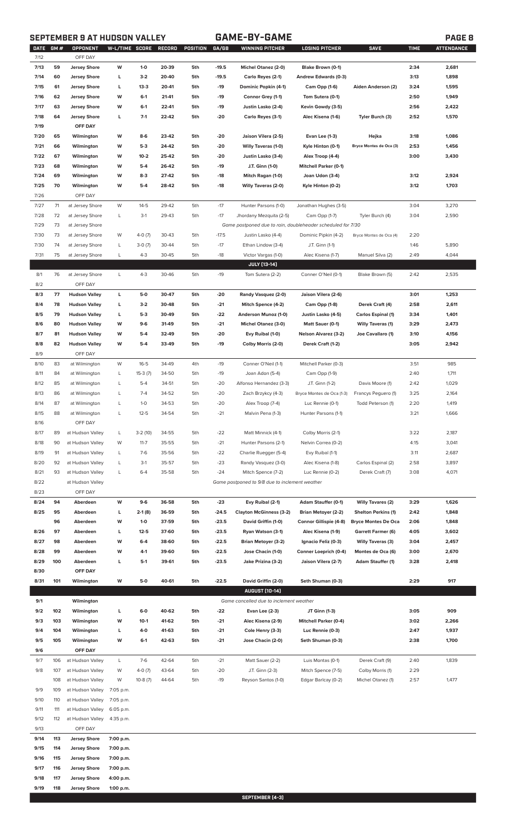# **SEPTEMBER 9 AT HUDSON VALLEY GAME-BY-GAME PAGE 8**

|--|

| DATE GM# |     | OPPONENT             | W-L/TIME SCORE |           | RECORD | POSITION | GA/GB   | <b>WINNING PITCHER</b>                                      | <b>LOSING PITCHER</b>        | <b>SAVE</b>                | <b>TIME</b> | <b>ATTENDANCE</b> |
|----------|-----|----------------------|----------------|-----------|--------|----------|---------|-------------------------------------------------------------|------------------------------|----------------------------|-------------|-------------------|
| 7/12     |     | OFF DAY              |                |           |        |          |         |                                                             |                              |                            |             |                   |
| 7/13     | 59  | <b>Jersey Shore</b>  | W              | $1 - 0$   | 20-39  | 5th      | $-19.5$ | Michel Otanez (2-0)                                         | Blake Brown (0-1)            |                            | 2:34        | 2,681             |
| 7/14     | 60  | <b>Jersey Shore</b>  | L              | $3-2$     | 20-40  | 5th      | $-19.5$ | Carlo Reyes (2-1)                                           | Andrew Edwards (0-3)         |                            | 3:13        | 1,898             |
| 7/15     | 61  | <b>Jersey Shore</b>  | г              | $13-3$    | 20-41  | 5th      | $-19$   | Dominic Popkin (4-1)                                        | Cam Opp (1-6)                | Aiden Anderson (2)         | 3:24        | 1,595             |
| 7/16     | 62  | <b>Jersey Shore</b>  | W              | $6-1$     | 21-41  | 5th      | $-19$   | Connor Grey (1-1)                                           | Tom Sutera (0-1)             |                            | 2:50        | 1,949             |
| 7/17     | 63  | <b>Jersey Shore</b>  | W              | $6-1$     | 22-41  | 5th      | $-19$   | Justin Lasko (2-4)                                          | Kevin Gowdy (3-5)            |                            | 2:56        | 2,422             |
| 7/18     | 64  | <b>Jersey Shore</b>  | L              | $7-1$     | 22-42  | 5th      | $-20$   | Carlo Reyes (3-1)                                           | Alec Kisena (1-6)            | Tyler Burch (3)            | 2:52        | 1,570             |
| 7/19     |     | OFF DAY              |                |           |        |          |         |                                                             |                              |                            |             |                   |
|          |     |                      |                |           |        |          |         |                                                             |                              |                            |             |                   |
| 7/20     | 65  | Wilmington           | W              | $8-6$     | 23-42  | 5th      | $-20$   | Jaison Vilera (2-5)                                         | Evan Lee (1-3)               | Hejka                      | 3:18        | 1,086             |
| 7/21     | 66  | Wilmington           | W              | $5-3$     | 24-42  | 5th      | $-20$   | <b>Willy Taveras (1-0)</b>                                  | Kyle Hinton (0-1)            | Bryce Montes de Oca (3)    | 2:53        | 1,456             |
| 7/22     | 67  | Wilmington           | W              | $10-2$    | 25-42  | 5th      | $-20$   | Justin Lasko (3-4)                                          | Alex Troop (4-4)             |                            | 3:00        | 3,430             |
| 7/23     | 68  | Wilmington           | W              | $5-4$     | 26-42  | 5th      | $-19$   | J.T. Ginn (1-0)                                             | <b>Mitchell Parker (0-1)</b> |                            |             |                   |
| 7/24     | 69  | Wilmington           | W              | $8-3$     | 27-42  | 5th      | $-18$   | Mitch Ragan (1-0)                                           | Joan Udon (3-4)              |                            | 3:12        | 2,924             |
| 7/25     | 70  | Wilmington           | W              | $5-4$     | 28-42  | 5th      | $-18$   | <b>Willy Taveras (2-0)</b>                                  | Kyle Hinton (0-2)            |                            | 3:12        | 1,703             |
| 7/26     |     | OFF DAY              |                |           |        |          |         |                                                             |                              |                            |             |                   |
|          |     |                      |                |           |        |          |         |                                                             |                              |                            |             |                   |
| 7/27     | 71  | at Jersey Shore      | W              | $14 - 5$  | 29-42  | 5th      | $-17$   | Hunter Parsons (1-0)                                        | Jonathan Hughes (3-5)        |                            | 3:04        | 3,270             |
| 7/28     | 72  | at Jersey Shore      | L              | $3-1$     | 29-43  | 5th      | $-17$   | Jhordany Mezquita (2-5)                                     | Cam Opp (1-7)                | Tyler Burch (4)            | 3:04        | 2,590             |
| 7/29     | 73  | at Jersey Shore      |                |           |        |          |         | Game postponed due to rain, doubleheader scheduled for 7/30 |                              |                            |             |                   |
| 7/30     | 73  | at Jersey Shore      | W              | $4-0(7)$  | 30-43  | 5th      | $-17.5$ | Justin Lasko (4-4)                                          | Dominic Pipkin (4-2)         | Bryce Montes de Oca (4)    | 2:20        |                   |
| 7/30     | 74  | at Jersey Shore      | L              | $3-0(7)$  | 30-44  | 5th      | $-17$   | Ethan Lindow (3-4)                                          | J.T. Ginn (1-1)              |                            | 1:46        | 5,890             |
| 7/31     | 75  | at Jersey Shore      | L              | $4 - 3$   | 30-45  | 5th      | $-18$   | Victor Vargas (1-0)                                         | Alec Kisena (1-7)            | Manuel Silva (2)           | 2:49        | 4,044             |
|          |     |                      |                |           |        |          |         | <b>JULY (13-14)</b>                                         |                              |                            |             |                   |
|          | 76  | at Jersey Shore      |                | $4 - 3$   | 30-46  | 5th      | $-19$   | Tom Sutera (2-2)                                            |                              |                            | 2:42        |                   |
| 8/1      |     |                      | L              |           |        |          |         |                                                             | Conner O'Neil (0-1)          | Blake Brown (5)            |             | 2,535             |
| 8/2      |     | OFF DAY              |                |           |        |          |         |                                                             |                              |                            |             |                   |
| 8/3      | 77  | <b>Hudson Valley</b> | L              | 5-0       | 30-47  | 5th      | $-20$   | Randy Vasquez (2-0)                                         | Jaison Vilera (2-6)          |                            | 3:01        | 1,253             |
| 8/4      | 78  | <b>Hudson Valley</b> | L              | $3-2$     | 30-48  | 5th      | $-21$   | Mitch Spence (4-2)                                          | Cam Opp (1-8)                | Derek Craft (4)            | 2:58        | 2,611             |
| 8/5      | 79  | <b>Hudson Valley</b> | г              | $5-3$     | 30-49  | 5th      | $-22$   | Anderson Munoz (1-0)                                        | Justin Lasko (4-5)           | <b>Carlos Espinal (1)</b>  | 3:34        | 1,401             |
| 8/6      | 80  | <b>Hudson Valley</b> | W              | $9-6$     | 31-49  | 5th      | $-21$   | <b>Michel Otanez (3-0)</b>                                  | Matt Sauer (0-1)             | <b>Willy Taveras (1)</b>   | 3:29        | 2,473             |
| 8/7      | 81  | <b>Hudson Valley</b> | W              | $5-4$     | 32-49  | 5th      | $-20$   | Evy Ruibal (1-0)                                            | <b>Nelson Alvarez (3-2)</b>  | Joe Cavallaro (1)          | 3:10        | 4,156             |
| 8/8      | 82  | <b>Hudson Valley</b> | W              | $5-4$     | 33-49  | 5th      | $-19$   | Colby Morris (2-0)                                          | Derek Craft (1-2)            |                            | 3:05        | 2,942             |
| 8/9      |     | OFF DAY              |                |           |        |          |         |                                                             |                              |                            |             |                   |
|          |     |                      |                |           |        |          |         |                                                             |                              |                            |             |                   |
| 8/10     | 83  | at Wilmington        | W              | $16 - 5$  | 34-49  | 4th      | $-19$   | Conner O'Neil (1-1)                                         | Mitchell Parker (0-3)        |                            | 3:51        | 985               |
| 8/11     | 84  | at Wilmington        | L              | $15-3(7)$ | 34-50  | 5th      | $-19$   | Joan Adon (5-4)                                             | Cam Opp (1-9)                |                            | 2:40        | 1,711             |
| 8/12     | 85  | at Wilmington        | L              | $5 - 4$   | 34-51  | 5th      | $-20$   | Alfonso Hernandez (3-3)                                     | J.T. Ginn (1-2)              | Davis Moore (1)            | 2:42        | 1,029             |
| 8/13     | 86  | at Wilmington        | L              | $7 - 4$   | 34-52  | 5th      | $-20$   | Zach Brzykcy (4-3)                                          | Bryce Montes de Oca (1-3)    | Francys Peguero (1)        | 3:25        | 2,164             |
| 8/14     | 87  | at Wilmington        | L              | $1 - 0$   | 34-53  | 5th      | $-20$   | Alex Troop (7-4)                                            | Luc Rennie (0-1)             | Todd Peterson (1)          | 2:20        | 1,419             |
| 8/15     | 88  | at Wilmington        | L              | $12 - 5$  | 34-54  | 5th      | $-21$   | Malvin Pena (1-3)                                           | Hunter Parsons (1-1)         |                            | 3:21        | 1,666             |
| 8/16     |     | OFF DAY              |                |           |        |          |         |                                                             |                              |                            |             |                   |
| 8/17     | 89  | at Hudson Valley     | L              |           | 34-55  | 5th      | $-22$   | Matt Minnick (4-1)                                          | Colby Morris (2-1)           |                            | 3:22        | 2,187             |
|          |     |                      |                | $3-2(10)$ |        |          |         |                                                             |                              |                            |             |                   |
| 8/18     | 90  | at Hudson Valley     | W              | $11 - 7$  | 35-55  | 5th      | $-21$   | Hunter Parsons (2-1)                                        | Nelvin Correa (0-2)          |                            | 4:15        | 3,041             |
| 8/19     | 91  | at Hudson Valley     | L              | $7-6$     | 35-56  | 5th      | $-22$   | Charlie Ruegger (5-4)                                       | Evy Ruibal (1-1)             |                            | 3:11        | 2,687             |
| 8/20     | 92  | at Hudson Valley     | L              | $3-1$     | 35-57  | 5th      | $-23$   | Randy Vasquez (3-0)                                         | Alec Kisena (1-8)            | Carlos Espinal (2)         | 2:58        | 3,897             |
| 8/21     | 93  | at Hudson Valley     | L              | $6 - 4$   | 35-58  | 5th      | $-24$   | Mitch Spence (7-2)                                          | Luc Rennie (0-2)             | Derek Craft (7)            | 3:08        | 4,071             |
| 8/22     |     | at Hudson Valley     |                |           |        |          |         | Game postponed to 9/8 due to inclement weather              |                              |                            |             |                   |
| 8/23     |     | OFF DAY              |                |           |        |          |         |                                                             |                              |                            |             |                   |
| 8/24     | 94  | Aberdeen             | W              | $9-6$     | 36-58  | 5th      | $-23$   | Evy Ruibal (2-1)                                            | <b>Adam Stauffer (0-1)</b>   | <b>Willy Tavares (2)</b>   | 3:29        | 1,626             |
| 8/25     | 95  | Aberdeen             | г              | 2-1 (8)   | 36-59  | 5th      | $-24.5$ | <b>Clayton McGinness (3-2)</b>                              | <b>Brian Metoyer (2-2)</b>   | <b>Shelton Perkins (1)</b> | 2:42        | 1,848             |
|          | 96  |                      | W              | $1 - 0$   | 37-59  |          | $-23.5$ |                                                             |                              |                            |             |                   |
|          |     | Aberdeen             |                |           |        | 5th      |         | David Griffin (1-0)                                         | Connor Gillispie (4-8)       | <b>Bryce Montes De Oca</b> | 2:06        | 1,848             |
| 8/26     | 97  | Aberdeen             | г              | $12 - 5$  | 37-60  | 5th      | $-23.5$ | Ryan Watson (3-1)                                           | Alec Kisena (1-9)            | <b>Garrett Farmer (6)</b>  | 4:05        | 3,602             |
| 8/27     | 98  | Aberdeen             | W              | $6-4$     | 38-60  | 5th      | $-22.5$ | <b>Brian Metoyer (3-2)</b>                                  | Ignacio Feliz (0-3)          | <b>Willy Taveras (3)</b>   | 3:04        | 2,457             |
| 8/28     | 99  | Aberdeen             | W              | $4-1$     | 39-60  | 5th      | $-22.5$ | Jose Chacin (1-0)                                           | Conner Loeprich (0-4)        | Montes de Oca (6)          | 3:00        | 2,670             |
| 8/29     | 100 | Aberdeen             | г              | $5-1$     | 39-61  | 5th      | $-23.5$ | Jake Prizina (3-2)                                          | Jaison Vilera (2-7)          | <b>Adam Stauffer (1)</b>   | 3:28        | 2,418             |
| 8/30     |     | OFF DAY              |                |           |        |          |         |                                                             |                              |                            |             |                   |
| 8/31     | 101 | Wilmington           | W              | $5-0$     | 40-61  | 5th      | $-22.5$ | David Griffin (2-0)                                         | Seth Shuman (0-3)            |                            | 2:29        | 917               |
|          |     |                      |                |           |        |          |         | <b>AUGUST [10-14]</b>                                       |                              |                            |             |                   |
| 9/1      |     | Wilmington           |                |           |        |          |         | Game cancelled due to inclement weather                     |                              |                            |             |                   |
|          | 102 |                      |                |           |        |          |         |                                                             |                              |                            |             | 909               |
| 9/2      |     | Wilmington           | г              | $6-0$     | 40-62  | 5th      | $-22$   | <b>Evan Lee (2-3)</b>                                       | JT Ginn (1-3)                |                            | 3:05        |                   |
| 9/3      | 103 | Wilmington           | W              | $10-1$    | 41-62  | 5th      | $-21$   | Alec Kisena (2-9)                                           | <b>Mitchell Parker (0-4)</b> |                            | 3:02        | 2,266             |
| 9/4      | 104 | Wilmington           | г              | 4-0       | 41-63  | 5th      | $-21$   | Cole Henry (3-3)                                            | Luc Rennie (0-3)             |                            | 2:47        | 1,937             |
| 9/5      | 105 | Wilmington           | W              | $6-1$     | 42-63  | 5th      | $-21$   | Jose Chacin (2-0)                                           | Seth Shuman (0-3)            |                            | 2:38        | 1,700             |
| 9/6      |     | OFF DAY              |                |           |        |          |         |                                                             |                              |                            |             |                   |
| 9/7      | 106 | at Hudson Valley     | L              | $7-6$     | 42-64  | 5th      | $-21$   | Matt Sauer (2-2)                                            | Luis Montas (0-1)            | Derek Craft (9)            | 2:40        | 1,839             |
| 9/8      | 107 | at Hudson Valley     | W              | 4-0 (7)   | 43-64  | 5th      | $-20$   | J.T. Ginn (2-3)                                             | Mitch Spence (7-5)           | Colby Morris (1)           | 2:29        |                   |
|          | 108 | at Hudson Valley     | W              | $10-8(7)$ | 44-64  | 5th      | $-19$   | Reyson Santos (1-0)                                         | Edgar Barlcay (0-2)          | Michel Otanez (1)          | 2:57        | 1,477             |
| 9/9      | 109 | at Hudson Valley     | 7:05 p.m.      |           |        |          |         |                                                             |                              |                            |             |                   |
|          |     |                      |                |           |        |          |         |                                                             |                              |                            |             |                   |
| 9/10     | 110 | at Hudson Valley     | 7:05 p.m.      |           |        |          |         |                                                             |                              |                            |             |                   |
| 9/11     | 111 | at Hudson Valley     | 6:05 p.m.      |           |        |          |         |                                                             |                              |                            |             |                   |
| 9/12     | 112 | at Hudson Valley     | 4:35 p.m.      |           |        |          |         |                                                             |                              |                            |             |                   |
| 9/13     |     | OFF DAY              |                |           |        |          |         |                                                             |                              |                            |             |                   |
| 9/14     | 113 | <b>Jersey Shore</b>  | 7:00 p.m.      |           |        |          |         |                                                             |                              |                            |             |                   |
| 9/15     | 114 | <b>Jersey Shore</b>  | 7:00 p.m.      |           |        |          |         |                                                             |                              |                            |             |                   |
| 9/16     | 115 | <b>Jersey Shore</b>  | 7:00 p.m.      |           |        |          |         |                                                             |                              |                            |             |                   |
| 9/17     | 116 | <b>Jersey Shore</b>  | 7:00 p.m.      |           |        |          |         |                                                             |                              |                            |             |                   |
|          |     |                      |                |           |        |          |         |                                                             |                              |                            |             |                   |
| 9/18     | 117 | <b>Jersey Shore</b>  | 4:00 p.m.      |           |        |          |         |                                                             |                              |                            |             |                   |
| 9/19     | 118 | <b>Jersey Shore</b>  | 1:00 p.m.      |           |        |          |         |                                                             |                              |                            |             |                   |
|          |     |                      |                |           |        |          |         | <b>SEPTEMBER [4-3]</b>                                      |                              |                            |             |                   |